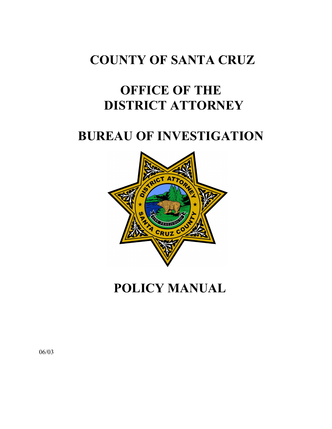# **COUNTY OF SANTA CRUZ**

# **OFFICE OF THE DISTRICT ATTORNEY**

# **BUREAU OF INVESTIGATION**



 **POLICY MANUAL** 

06/03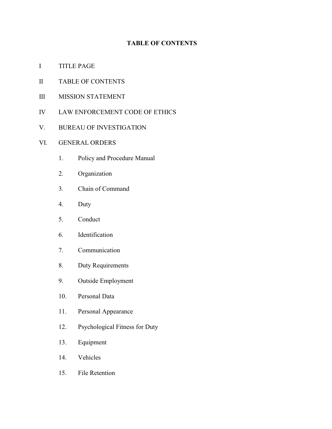### **TABLE OF CONTENTS**

- I TITLE PAGE
- II TABLE OF CONTENTS
- III MISSION STATEMENT
- IV LAW ENFORCEMENT CODE OF ETHICS
- V. BUREAU OF INVESTIGATION
- VI. GENERAL ORDERS
	- 1. Policy and Procedure Manual
	- 2. Organization
	- 3. Chain of Command
	- 4. Duty
	- 5. Conduct
	- 6. Identification
	- 7. Communication
	- 8. Duty Requirements
	- 9. Outside Employment
	- 10. Personal Data
	- 11. Personal Appearance
	- 12. Psychological Fitness for Duty
	- 13. Equipment
	- 14. Vehicles
	- 15. File Retention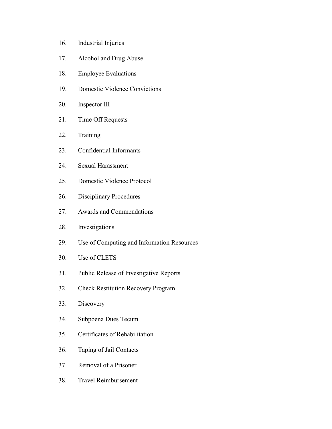- 16. Industrial Injuries
- 17. Alcohol and Drug Abuse
- 18. Employee Evaluations
- 19. Domestic Violence Convictions
- 20. Inspector III
- 21. Time Off Requests
- 22. Training
- 23. Confidential Informants
- 24. Sexual Harassment
- 25. Domestic Violence Protocol
- 26. Disciplinary Procedures
- 27. Awards and Commendations
- 28. Investigations
- 29. Use of Computing and Information Resources
- 30. Use of CLETS
- 31. Public Release of Investigative Reports
- 32. Check Restitution Recovery Program
- 33. Discovery
- 34. Subpoena Dues Tecum
- 35. Certificates of Rehabilitation
- 36. Taping of Jail Contacts
- 37. Removal of a Prisoner
- 38. Travel Reimbursement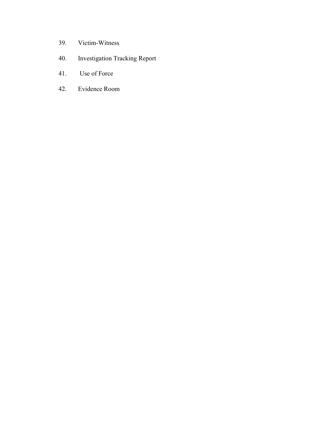- 39. Victim-Witness
- 40. Investigation Tracking Report
- 41. Use of Force
- 42. Evidence Room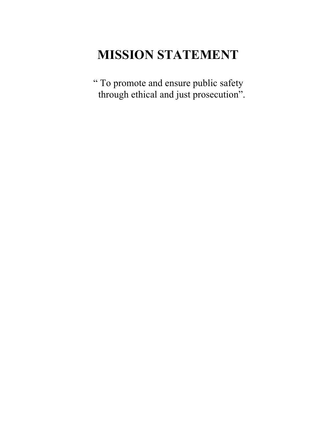# **MISSION STATEMENT**

 " To promote and ensure public safety through ethical and just prosecution".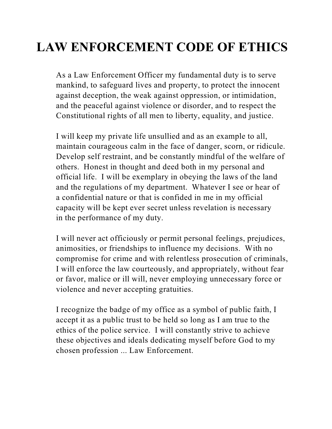# **LAW ENFORCEMENT CODE OF ETHICS**

As a Law Enforcement Officer my fundamental duty is to serve mankind, to safeguard lives and property, to protect the innocent against deception, the weak against oppression, or intimidation, and the peaceful against violence or disorder, and to respect the Constitutional rights of all men to liberty, equality, and justice.

I will keep my private life unsullied and as an example to all, maintain courageous calm in the face of danger, scorn, or ridicule. Develop self restraint, and be constantly mindful of the welfare of others. Honest in thought and deed both in my personal and official life. I will be exemplary in obeying the laws of the land and the regulations of my department. Whatever I see or hear of a confidential nature or that is confided in me in my official capacity will be kept ever secret unless revelation is necessary in the performance of my duty.

I will never act officiously or permit personal feelings, prejudices, animosities, or friendships to influence my decisions. With no compromise for crime and with relentless prosecution of criminals, I will enforce the law courteously, and appropriately, without fear or favor, malice or ill will, never employing unnecessary force or violence and never accepting gratuities.

I recognize the badge of my office as a symbol of public faith, I accept it as a public trust to be held so long as I am true to the ethics of the police service. I will constantly strive to achieve these objectives and ideals dedicating myself before God to my chosen profession ... Law Enforcement.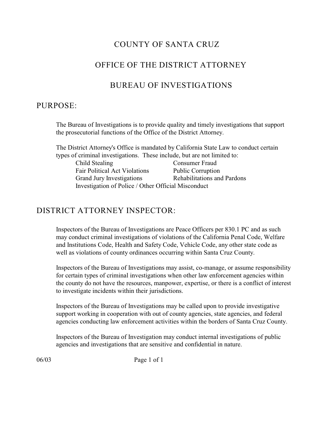# COUNTY OF SANTA CRUZ

# OFFICE OF THE DISTRICT ATTORNEY

# BUREAU OF INVESTIGATIONS

# PURPOSE:

The Bureau of Investigations is to provide quality and timely investigations that support the prosecutorial functions of the Office of the District Attorney.

The District Attorney's Office is mandated by California State Law to conduct certain types of criminal investigations. These include, but are not limited to: Child Stealing Consumer Fraud Fair Political Act Violations Public Corruption Grand Jury Investigations Rehabilitations and Pardons Investigation of Police / Other Official Misconduct

# DISTRICT ATTORNEY INSPECTOR:

Inspectors of the Bureau of Investigations are Peace Officers per 830.1 PC and as such may conduct criminal investigations of violations of the California Penal Code, Welfare and Institutions Code, Health and Safety Code, Vehicle Code, any other state code as well as violations of county ordinances occurring within Santa Cruz County.

Inspectors of the Bureau of Investigations may assist, co-manage, or assume responsibility for certain types of criminal investigations when other law enforcement agencies within the county do not have the resources, manpower, expertise, or there is a conflict of interest to investigate incidents within their jurisdictions.

Inspectors of the Bureau of Investigations may be called upon to provide investigative support working in cooperation with out of county agencies, state agencies, and federal agencies conducting law enforcement activities within the borders of Santa Cruz County.

Inspectors of the Bureau of Investigation may conduct internal investigations of public agencies and investigations that are sensitive and confidential in nature.

06/03 Page 1 of 1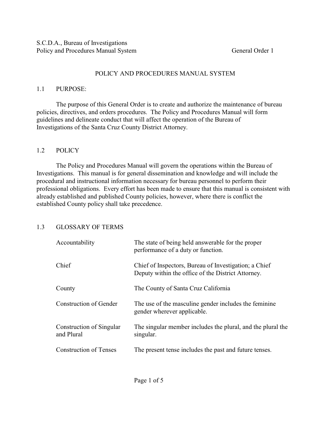# POLICY AND PROCEDURES MANUAL SYSTEM

### 1.1 PURPOSE:

The purpose of this General Order is to create and authorize the maintenance of bureau policies, directives, and orders procedures. The Policy and Procedures Manual will form guidelines and delineate conduct that will affect the operation of the Bureau of Investigations of the Santa Cruz County District Attorney.

# 1.2 POLICY

The Policy and Procedures Manual will govern the operations within the Bureau of Investigations. This manual is for general dissemination and knowledge and will include the procedural and instructional information necessary for bureau personnel to perform their professional obligations. Every effort has been made to ensure that this manual is consistent with already established and published County policies, however, where there is conflict the established County policy shall take precedence.

# 1.3 GLOSSARY OF TERMS

| Accountability                         | The state of being held answerable for the proper<br>performance of a duty or function.                     |
|----------------------------------------|-------------------------------------------------------------------------------------------------------------|
| Chief                                  | Chief of Inspectors, Bureau of Investigation; a Chief<br>Deputy within the office of the District Attorney. |
| County                                 | The County of Santa Cruz California                                                                         |
| Construction of Gender                 | The use of the masculine gender includes the feminine<br>gender wherever applicable.                        |
| Construction of Singular<br>and Plural | The singular member includes the plural, and the plural the<br>singular.                                    |
| <b>Construction of Tenses</b>          | The present tense includes the past and future tenses.                                                      |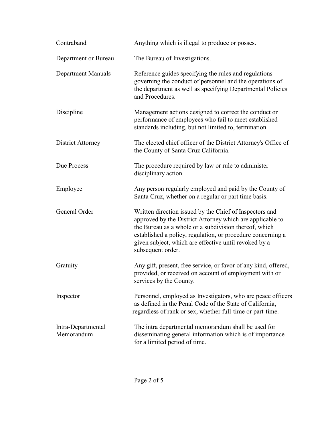| Contraband                       | Anything which is illegal to produce or posses.                                                                                                                                                                                                                                                                            |
|----------------------------------|----------------------------------------------------------------------------------------------------------------------------------------------------------------------------------------------------------------------------------------------------------------------------------------------------------------------------|
| Department or Bureau             | The Bureau of Investigations.                                                                                                                                                                                                                                                                                              |
| <b>Department Manuals</b>        | Reference guides specifying the rules and regulations<br>governing the conduct of personnel and the operations of<br>the department as well as specifying Departmental Policies<br>and Procedures.                                                                                                                         |
| Discipline                       | Management actions designed to correct the conduct or<br>performance of employees who fail to meet established<br>standards including, but not limited to, termination.                                                                                                                                                    |
| <b>District Attorney</b>         | The elected chief officer of the District Attorney's Office of<br>the County of Santa Cruz California.                                                                                                                                                                                                                     |
| Due Process                      | The procedure required by law or rule to administer<br>disciplinary action.                                                                                                                                                                                                                                                |
| Employee                         | Any person regularly employed and paid by the County of<br>Santa Cruz, whether on a regular or part time basis.                                                                                                                                                                                                            |
| General Order                    | Written direction issued by the Chief of Inspectors and<br>approved by the District Attorney which are applicable to<br>the Bureau as a whole or a subdivision thereof, which<br>established a policy, regulation, or procedure concerning a<br>given subject, which are effective until revoked by a<br>subsequent order. |
| Gratuity                         | Any gift, present, free service, or favor of any kind, offered,<br>provided, or received on account of employment with or<br>services by the County.                                                                                                                                                                       |
| Inspector                        | Personnel, employed as Investigators, who are peace officers<br>as defined in the Penal Code of the State of California,<br>regardless of rank or sex, whether full-time or part-time.                                                                                                                                     |
| Intra-Departmental<br>Memorandum | The intra departmental memorandum shall be used for<br>disseminating general information which is of importance<br>for a limited period of time.                                                                                                                                                                           |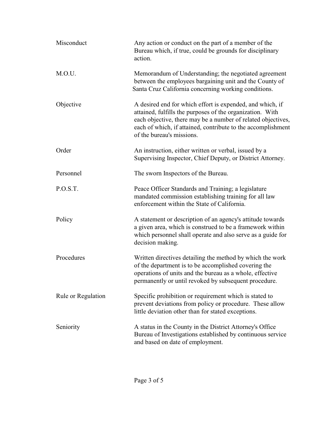| Misconduct         | Any action or conduct on the part of a member of the<br>Bureau which, if true, could be grounds for disciplinary<br>action.                                                                                                                                                         |
|--------------------|-------------------------------------------------------------------------------------------------------------------------------------------------------------------------------------------------------------------------------------------------------------------------------------|
| M.O.U.             | Memorandum of Understanding; the negotiated agreement<br>between the employees bargaining unit and the County of<br>Santa Cruz California concerning working conditions.                                                                                                            |
| Objective          | A desired end for which effort is expended, and which, if<br>attained, fulfills the purposes of the organization. With<br>each objective, there may be a number of related objectives,<br>each of which, if attained, contribute to the accomplishment<br>of the bureau's missions. |
| Order              | An instruction, either written or verbal, issued by a<br>Supervising Inspector, Chief Deputy, or District Attorney.                                                                                                                                                                 |
| Personnel          | The sworn Inspectors of the Bureau.                                                                                                                                                                                                                                                 |
| P.O.S.T.           | Peace Officer Standards and Training; a legislature<br>mandated commission establishing training for all law<br>enforcement within the State of California.                                                                                                                         |
| Policy             | A statement or description of an agency's attitude towards<br>a given area, which is construed to be a framework within<br>which personnel shall operate and also serve as a guide for<br>decision making.                                                                          |
| Procedures         | Written directives detailing the method by which the work<br>of the department is to be accomplished covering the<br>operations of units and the bureau as a whole, effective<br>permanently or until revoked by subsequent procedure.                                              |
| Rule or Regulation | Specific prohibition or requirement which is stated to<br>prevent deviations from policy or procedure. These allow<br>little deviation other than for stated exceptions.                                                                                                            |
| Seniority          | A status in the County in the District Attorney's Office<br>Bureau of Investigations established by continuous service<br>and based on date of employment.                                                                                                                          |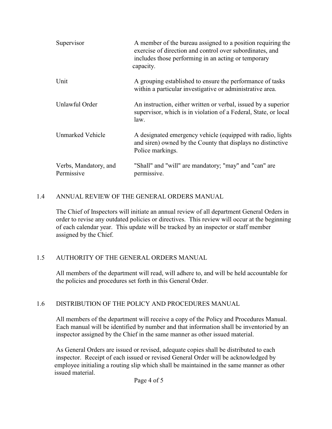| Supervisor                          | A member of the bureau assigned to a position requiring the<br>exercise of direction and control over subordinates, and<br>includes those performing in an acting or temporary<br>capacity. |
|-------------------------------------|---------------------------------------------------------------------------------------------------------------------------------------------------------------------------------------------|
| Unit                                | A grouping established to ensure the performance of tasks<br>within a particular investigative or administrative area.                                                                      |
| Unlawful Order                      | An instruction, either written or verbal, issued by a superior<br>supervisor, which is in violation of a Federal, State, or local<br>law.                                                   |
| Unmarked Vehicle                    | A designated emergency vehicle (equipped with radio, lights<br>and siren) owned by the County that displays no distinctive<br>Police markings.                                              |
| Verbs, Mandatory, and<br>Permissive | "Shall" and "will" are mandatory; "may" and "can" are<br>permissive.                                                                                                                        |

# 1.4 ANNUAL REVIEW OF THE GENERAL ORDERS MANUAL

The Chief of Inspectors will initiate an annual review of all department General Orders in order to revise any outdated policies or directives. This review will occur at the beginning of each calendar year. This update will be tracked by an inspector or staff member assigned by the Chief.

# 1.5 AUTHORITY OF THE GENERAL ORDERS MANUAL

All members of the department will read, will adhere to, and will be held accountable for the policies and procedures set forth in this General Order.

# 1.6 DISTRIBUTION OF THE POLICY AND PROCEDURES MANUAL

All members of the department will receive a copy of the Policy and Procedures Manual. Each manual will be identified by number and that information shall be inventoried by an inspector assigned by the Chief in the same manner as other issued material.

As General Orders are issued or revised, adequate copies shall be distributed to each inspector. Receipt of each issued or revised General Order will be acknowledged by employee initialing a routing slip which shall be maintained in the same manner as other issued material.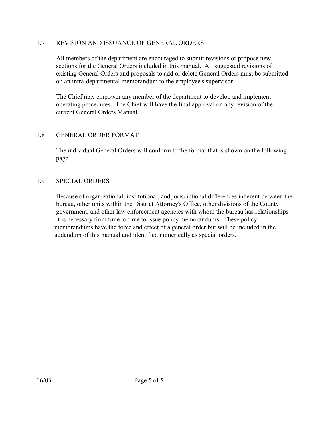### 1.7 REVISION AND ISSUANCE OF GENERAL ORDERS

All members of the department are encouraged to submit revisions or propose new sections for the General Orders included in this manual. All suggested revisions of existing General Orders and proposals to add or delete General Orders must be submitted on an intra-departmental memorandum to the employee's supervisor.

The Chief may empower any member of the department to develop and implement operating procedures. The Chief will have the final approval on any revision of the current General Orders Manual.

# 1.8 GENERAL ORDER FORMAT

The individual General Orders will conform to the format that is shown on the following page.

# 1.9 SPECIAL ORDERS

Because of organizational, institutional, and jurisdictional differences inherent between the bureau, other units within the District Attorney's Office, other divisions of the County government, and other law enforcement agencies with whom the bureau has relationships it is necessary from time to time to issue policy memorandums. These policy memorandums have the force and effect of a general order but will be included in the addendum of this manual and identified numerically as special orders.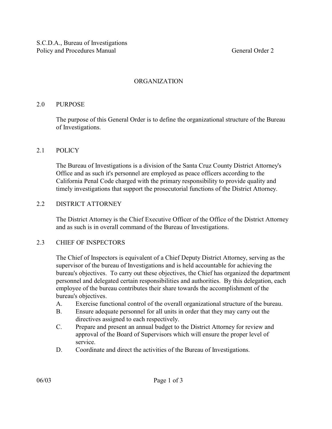# **ORGANIZATION**

# 2.0 PURPOSE

The purpose of this General Order is to define the organizational structure of the Bureau of Investigations.

# 2.1 POLICY

The Bureau of Investigations is a division of the Santa Cruz County District Attorney's Office and as such it's personnel are employed as peace officers according to the California Penal Code charged with the primary responsibility to provide quality and timely investigations that support the prosecutorial functions of the District Attorney.

# 2.2 DISTRICT ATTORNEY

The District Attorney is the Chief Executive Officer of the Office of the District Attorney and as such is in overall command of the Bureau of Investigations.

# 2.3 CHIEF OF INSPECTORS

The Chief of Inspectors is equivalent of a Chief Deputy District Attorney, serving as the supervisor of the bureau of Investigations and is held accountable for achieving the bureau's objectives. To carry out these objectives, the Chief has organized the department personnel and delegated certain responsibilities and authorities. By this delegation, each employee of the bureau contributes their share towards the accomplishment of the bureau's objectives.

- A. Exercise functional control of the overall organizational structure of the bureau.
- B. Ensure adequate personnel for all units in order that they may carry out the directives assigned to each respectively.
- C. Prepare and present an annual budget to the District Attorney for review and approval of the Board of Supervisors which will ensure the proper level of service.
- D. Coordinate and direct the activities of the Bureau of Investigations.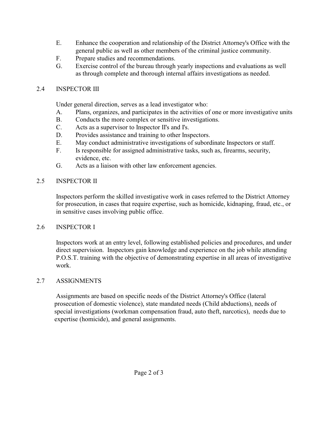- E. Enhance the cooperation and relationship of the District Attorney's Office with the general public as well as other members of the criminal justice community.
- F. Prepare studies and recommendations.
- G. Exercise control of the bureau through yearly inspections and evaluations as well as through complete and thorough internal affairs investigations as needed.

# 2.4 INSPECTOR III

Under general direction, serves as a lead investigator who:

- A. Plans, organizes, and participates in the activities of one or more investigative units
- B. Conducts the more complex or sensitive investigations.
- C. Acts as a supervisor to Inspector II's and I's.
- D. Provides assistance and training to other Inspectors.
- E. May conduct administrative investigations of subordinate Inspectors or staff.
- F. Is responsible for assigned administrative tasks, such as, firearms, security, evidence, etc.
- G. Acts as a liaison with other law enforcement agencies.

# 2.5 INSPECTOR II

Inspectors perform the skilled investigative work in cases referred to the District Attorney for prosecution, in cases that require expertise, such as homicide, kidnaping, fraud, etc., or in sensitive cases involving public office.

#### 2.6 INSPECTOR I

Inspectors work at an entry level, following established policies and procedures, and under direct supervision. Inspectors gain knowledge and experience on the job while attending P.O.S.T. training with the objective of demonstrating expertise in all areas of investigative work.

#### 2.7 ASSIGNMENTS

Assignments are based on specific needs of the District Attorney's Office (lateral prosecution of domestic violence), state mandated needs (Child abductions), needs of special investigations (workman compensation fraud, auto theft, narcotics), needs due to expertise (homicide), and general assignments.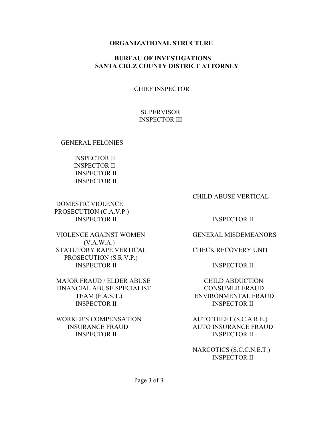#### **ORGANIZATIONAL STRUCTURE**

### **BUREAU OF INVESTIGATIONS SANTA CRUZ COUNTY DISTRICT ATTORNEY**

### CHIEF INSPECTOR

 SUPERVISOR INSPECTOR III

GENERAL FELONIES

 INSPECTOR II INSPECTOR II INSPECTOR II INSPECTOR II

DOMESTIC VIOLENCE PROSECUTION (C.A.V.P.) INSPECTOR II INSPECTOR II

VIOLENCE AGAINST WOMEN GENERAL MISDEMEANORS (V.A.W.A.) STATUTORY RAPE VERTICAL CHECK RECOVERY UNIT PROSECUTION (S.R.V.P.) INSPECTOR II INSPECTOR II

MAJOR FRAUD / ELDER ABUSE CHILD ABDUCTION FINANCIAL ABUSE SPECIALIST CONSUMER FRAUD INSPECTOR II INSPECTOR II

WORKER'S COMPENSATION AUTO THEFT (S.C.A.R.E.) INSPECTOR II INSPECTOR II

CHILD ABUSE VERTICAL

TEAM (F.A.S.T.) ENVIRONMENTAL FRAUD

INSURANCE FRAUD AUTO INSURANCE FRAUD

NARCOTICS (S.C.C.N.E.T.) INSPECTOR II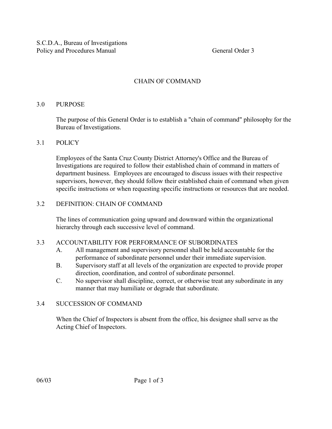# CHAIN OF COMMAND

# 3.0 PURPOSE

The purpose of this General Order is to establish a "chain of command" philosophy for the Bureau of Investigations.

# 3.1 POLICY

Employees of the Santa Cruz County District Attorney's Office and the Bureau of Investigations are required to follow their established chain of command in matters of department business. Employees are encouraged to discuss issues with their respective supervisors, however, they should follow their established chain of command when given specific instructions or when requesting specific instructions or resources that are needed.

# 3.2 DEFINITION: CHAIN OF COMMAND

The lines of communication going upward and downward within the organizational hierarchy through each successive level of command.

# 3.3 ACCOUNTABILITY FOR PERFORMANCE OF SUBORDINATES

- A. All management and supervisory personnel shall be held accountable for the performance of subordinate personnel under their immediate supervision.
- B. Supervisory staff at all levels of the organization are expected to provide proper direction, coordination, and control of subordinate personnel.
- C. No supervisor shall discipline, correct, or otherwise treat any subordinate in any manner that may humiliate or degrade that subordinate.

# 3.4 SUCCESSION OF COMMAND

When the Chief of Inspectors is absent from the office, his designee shall serve as the Acting Chief of Inspectors.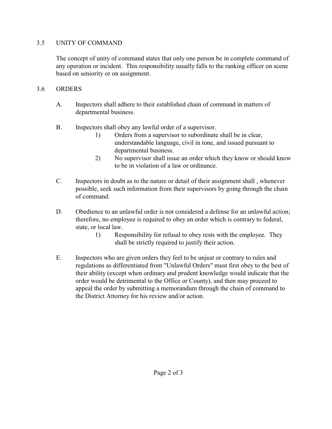# 3.5 UNITY OF COMMAND

The concept of unity of command states that only one person be in complete command of any operation or incident. This responsibility usually falls to the ranking officer on scene based on seniority or on assignment.

# 3.6 ORDERS

- A. Inspectors shall adhere to their established chain of command in matters of departmental business.
- B. Inspectors shall obey any lawful order of a supervisor.
	- 1) Orders from a supervisor to subordinate shall be in clear, understandable language, civil in tone, and issued pursuant to departmental business.
	- 2) No supervisor shall issue an order which they know or should know to be in violation of a law or ordinance.
- C. Inspectors in doubt as to the nature or detail of their assignment shall , whenever possible, seek such information from their supervisors by going through the chain of command.
- D. Obedience to an unlawful order is not considered a defense for an unlawful action; therefore, no employee is required to obey an order which is contrary to federal, state, or local law.
	- 1) Responsibility for refusal to obey rests with the employee. They shall be strictly required to justify their action.
- E. Inspectors who are given orders they feel to be unjust or contrary to rules and regulations as differentiated from "Unlawful Orders" must first obey to the best of their ability (except when ordinary and prudent knowledge would indicate that the order would be detrimental to the Office or County), and then may proceed to appeal the order by submitting a memorandum through the chain of command to the District Attorney for his review and/or action.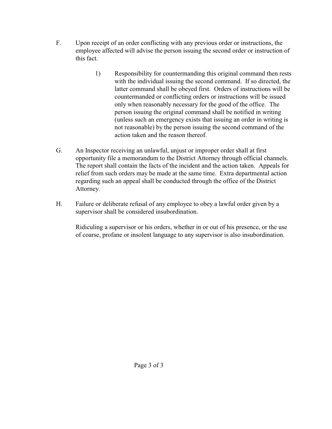- F. Upon receipt of an order conflicting with any previous order or instructions, the employee affected will advise the person issuing the second order or instruction of this fact.
	- 1) Responsibility for countermanding this original command then rests with the individual issuing the second command. If so directed, the latter command shall be obeyed first. Orders of instructions will be countermanded or conflicting orders or instructions will be issued only when reasonably necessary for the good of the office. The person issuing the original command shall be notified in writing (unless such an emergency exists that issuing an order in writing is not reasonable) by the person issuing the second command of the action taken and the reason thereof.
- G. An Inspector receiving an unlawful, unjust or improper order shall at first opportunity file a memorandum to the District Attorney through official channels. The report shall contain the facts of the incident and the action taken. Appeals for relief from such orders may be made at the same time. Extra departmental action regarding such an appeal shall be conducted through the office of the District Attorney.
- H. Failure or deliberate refusal of any employee to obey a lawful order given by a supervisor shall be considered insubordination.

Ridiculing a supervisor or his orders, whether in or out of his presence, or the use of coarse, profane or insolent language to any supervisor is also insubordination.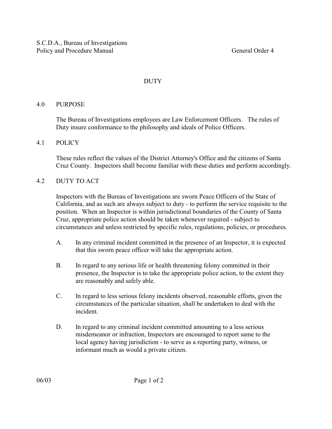# **DUTY**

# 4.0 PURPOSE

The Bureau of Investigations employees are Law Enforcement Officers. The rules of Duty insure conformance to the philosophy and ideals of Police Officers.

# 4.1 POLICY

These rules reflect the values of the District Attorney's Office and the citizens of Santa Cruz County. Inspectors shall become familiar with these duties and perform accordingly.

# 4.2 DUTY TO ACT

Inspectors with the Bureau of Investigations are sworn Peace Officers of the State of California, and as such are always subject to duty - to perform the service requisite to the position. When an Inspector is within jurisdictional boundaries of the County of Santa Cruz, appropriate police action should be taken whenever required - subject to circumstances and unless restricted by specific rules, regulations, policies, or procedures.

- A. In any criminal incident committed in the presence of an Inspector, it is expected that this sworn peace officer will take the appropriate action.
- B. In regard to any serious life or health threatening felony committed in their presence, the Inspector is to take the appropriate police action, to the extent they are reasonably and safely able.
- C. In regard to less serious felony incidents observed, reasonable efforts, given the circumstances of the particular situation, shall be undertaken to deal with the incident.
- D. In regard to any criminal incident committed amounting to a less serious misdemeanor or infraction, Inspectors are encouraged to report same to the local agency having jurisdiction - to serve as a reporting party, witness, or informant much as would a private citizen.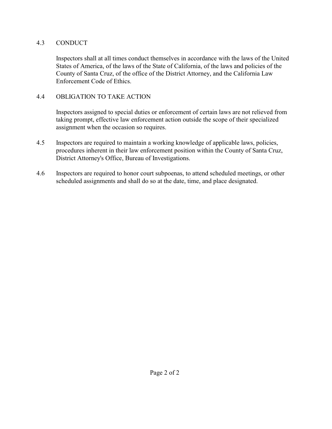# 4.3 CONDUCT

Inspectors shall at all times conduct themselves in accordance with the laws of the United States of America, of the laws of the State of California, of the laws and policies of the County of Santa Cruz, of the office of the District Attorney, and the California Law Enforcement Code of Ethics.

# 4.4 OBLIGATION TO TAKE ACTION

Inspectors assigned to special duties or enforcement of certain laws are not relieved from taking prompt, effective law enforcement action outside the scope of their specialized assignment when the occasion so requires.

- 4.5 Inspectors are required to maintain a working knowledge of applicable laws, policies, procedures inherent in their law enforcement position within the County of Santa Cruz, District Attorney's Office, Bureau of Investigations.
- 4.6 Inspectors are required to honor court subpoenas, to attend scheduled meetings, or other scheduled assignments and shall do so at the date, time, and place designated.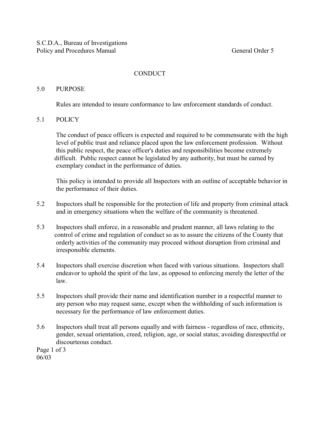#### **CONDUCT**

#### 5.0 PURPOSE

Rules are intended to insure conformance to law enforcement standards of conduct.

#### 5.1 POLICY

The conduct of peace officers is expected and required to be commensurate with the high level of public trust and reliance placed upon the law enforcement profession. Without this public respect, the peace officer's duties and responsibilities become extremely difficult. Public respect cannot be legislated by any authority, but must be earned by exemplary conduct in the performance of duties.

This policy is intended to provide all Inspectors with an outline of acceptable behavior in the performance of their duties.

- 5.2 Inspectors shall be responsible for the protection of life and property from criminal attack and in emergency situations when the welfare of the community is threatened.
- 5.3 Inspectors shall enforce, in a reasonable and prudent manner, all laws relating to the control of crime and regulation of conduct so as to assure the citizens of the County that orderly activities of the community may proceed without disruption from criminal and irresponsible elements.
- 5.4 Inspectors shall exercise discretion when faced with various situations. Inspectors shall endeavor to uphold the spirit of the law, as opposed to enforcing merely the letter of the law.
- 5.5 Inspectors shall provide their name and identification number in a respectful manner to any person who may request same, except when the withholding of such information is necessary for the performance of law enforcement duties.
- 5.6 Inspectors shall treat all persons equally and with fairness regardless of race, ethnicity, gender, sexual orientation, creed, religion, age, or social status; avoiding disrespectful or discourteous conduct.

Page 1 of 3 06/03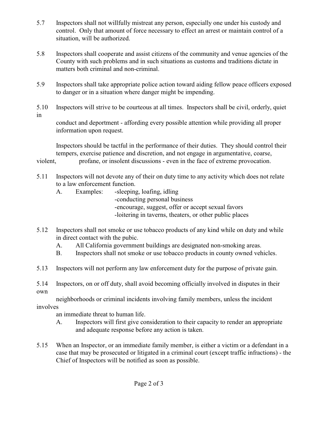- 5.7 Inspectors shall not willfully mistreat any person, especially one under his custody and control. Only that amount of force necessary to effect an arrest or maintain control of a situation, will be authorized.
- 5.8 Inspectors shall cooperate and assist citizens of the community and venue agencies of the County with such problems and in such situations as customs and traditions dictate in matters both criminal and non-criminal.
- 5.9 Inspectors shall take appropriate police action toward aiding fellow peace officers exposed to danger or in a situation where danger might be impending.
- 5.10 Inspectors will strive to be courteous at all times. Inspectors shall be civil, orderly, quiet in

conduct and deportment - affording every possible attention while providing all proper information upon request.

Inspectors should be tactful in the performance of their duties. They should control their tempers, exercise patience and discretion, and not engage in argumentative, coarse,

violent, profane, or insolent discussions - even in the face of extreme provocation.

- 5.11 Inspectors will not devote any of their on duty time to any activity which does not relate to a law enforcement function.
	- A. Examples: -sleeping, loafing, idling -conducting personal business -encourage, suggest, offer or accept sexual favors -loitering in taverns, theaters, or other public places
- 5.12 Inspectors shall not smoke or use tobacco products of any kind while on duty and while in direct contact with the pubic.
	- A. All California government buildings are designated non-smoking areas.
	- B. Inspectors shall not smoke or use tobacco products in county owned vehicles.
- 5.13 Inspectors will not perform any law enforcement duty for the purpose of private gain.
- 5.14 Inspectors, on or off duty, shall avoid becoming officially involved in disputes in their own

neighborhoods or criminal incidents involving family members, unless the incident involves

an immediate threat to human life.

- A. Inspectors will first give consideration to their capacity to render an appropriate and adequate response before any action is taken.
- 5.15 When an Inspector, or an immediate family member, is either a victim or a defendant in a case that may be prosecuted or litigated in a criminal court (except traffic infractions) - the Chief of Inspectors will be notified as soon as possible.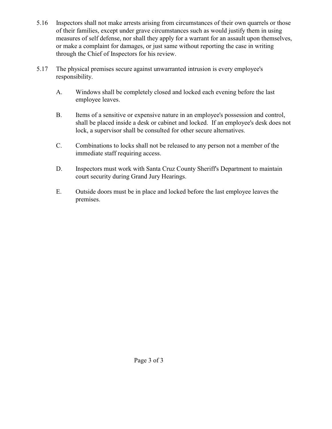- 5.16 Inspectors shall not make arrests arising from circumstances of their own quarrels or those of their families, except under grave circumstances such as would justify them in using measures of self defense, nor shall they apply for a warrant for an assault upon themselves, or make a complaint for damages, or just same without reporting the case in writing through the Chief of Inspectors for his review.
- 5.17 The physical premises secure against unwarranted intrusion is every employee's responsibility.
	- A. Windows shall be completely closed and locked each evening before the last employee leaves.
	- B. Items of a sensitive or expensive nature in an employee's possession and control, shall be placed inside a desk or cabinet and locked. If an employee's desk does not lock, a supervisor shall be consulted for other secure alternatives.
	- C. Combinations to locks shall not be released to any person not a member of the immediate staff requiring access.
	- D. Inspectors must work with Santa Cruz County Sheriff's Department to maintain court security during Grand Jury Hearings.
	- E. Outside doors must be in place and locked before the last employee leaves the premises.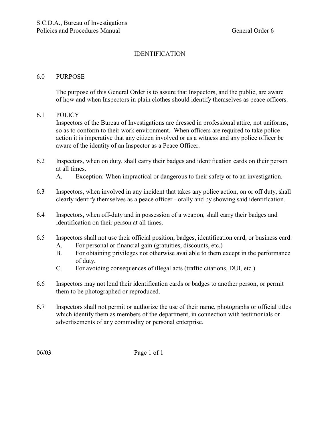# IDENTIFICATION

#### 6.0 PURPOSE

The purpose of this General Order is to assure that Inspectors, and the public, are aware of how and when Inspectors in plain clothes should identify themselves as peace officers.

#### 6.1 POLICY

Inspectors of the Bureau of Investigations are dressed in professional attire, not uniforms, so as to conform to their work environment. When officers are required to take police action it is imperative that any citizen involved or as a witness and any police officer be aware of the identity of an Inspector as a Peace Officer.

- 6.2 Inspectors, when on duty, shall carry their badges and identification cards on their person at all times.
	- A. Exception: When impractical or dangerous to their safety or to an investigation.
- 6.3 Inspectors, when involved in any incident that takes any police action, on or off duty, shall clearly identify themselves as a peace officer - orally and by showing said identification.
- 6.4 Inspectors, when off-duty and in possession of a weapon, shall carry their badges and identification on their person at all times.
- 6.5 Inspectors shall not use their official position, badges, identification card, or business card:
	- A. For personal or financial gain (gratuities, discounts, etc.)
	- B. For obtaining privileges not otherwise available to them except in the performance of duty.
	- C. For avoiding consequences of illegal acts (traffic citations, DUI, etc.)
- 6.6 Inspectors may not lend their identification cards or badges to another person, or permit them to be photographed or reproduced.
- 6.7 Inspectors shall not permit or authorize the use of their name, photographs or official titles which identify them as members of the department, in connection with testimonials or advertisements of any commodity or personal enterprise.

06/03 Page 1 of 1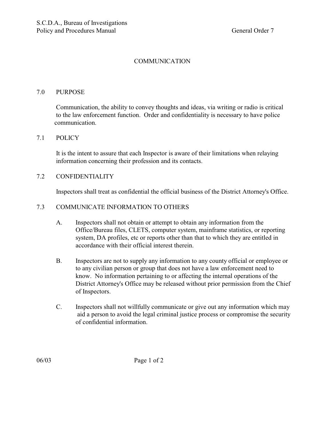# **COMMUNICATION**

#### 7.0 PURPOSE

Communication, the ability to convey thoughts and ideas, via writing or radio is critical to the law enforcement function. Order and confidentiality is necessary to have police communication.

#### 7.1 POLICY

It is the intent to assure that each Inspector is aware of their limitations when relaying information concerning their profession and its contacts.

#### 7.2 CONFIDENTIALITY

Inspectors shall treat as confidential the official business of the District Attorney's Office.

#### 7.3 COMMUNICATE INFORMATION TO OTHERS

- A. Inspectors shall not obtain or attempt to obtain any information from the Office/Bureau files, CLETS, computer system, mainframe statistics, or reporting system, DA profiles, etc or reports other than that to which they are entitled in accordance with their official interest therein.
- B. Inspectors are not to supply any information to any county official or employee or to any civilian person or group that does not have a law enforcement need to know. No information pertaining to or affecting the internal operations of the District Attorney's Office may be released without prior permission from the Chief of Inspectors.
- C. Inspectors shall not willfully communicate or give out any information which may aid a person to avoid the legal criminal justice process or compromise the security of confidential information.

06/03 Page 1 of 2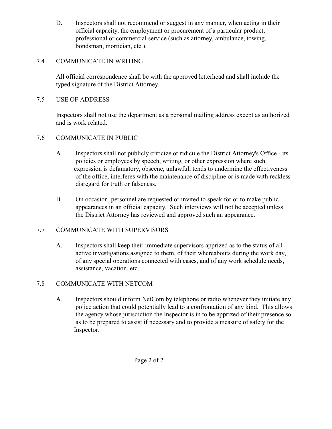D. Inspectors shall not recommend or suggest in any manner, when acting in their official capacity, the employment or procurement of a particular product, professional or commercial service (such as attorney, ambulance, towing, bondsman, mortician, etc.).

# 7.4 COMMUNICATE IN WRITING

All official correspondence shall be with the approved letterhead and shall include the typed signature of the District Attorney.

# 7.5 USE OF ADDRESS

Inspectors shall not use the department as a personal mailing address except as authorized and is work related.

# 7.6 COMMUNICATE IN PUBLIC

- A. Inspectors shall not publicly criticize or ridicule the District Attorney's Office its policies or employees by speech, writing, or other expression where such expression is defamatory, obscene, unlawful, tends to undermine the effectiveness of the office, interferes with the maintenance of discipline or is made with reckless disregard for truth or falseness.
- B. On occasion, personnel are requested or invited to speak for or to make public appearances in an official capacity. Such interviews will not be accepted unless the District Attorney has reviewed and approved such an appearance.

#### 7.7 COMMUNICATE WITH SUPERVISORS

A. Inspectors shall keep their immediate supervisors apprized as to the status of all active investigations assigned to them, of their whereabouts during the work day, of any special operations connected with cases, and of any work schedule needs, assistance, vacation, etc.

#### 7.8 COMMUNICATE WITH NETCOM

A. Inspectors should inform NetCom by telephone or radio whenever they initiate any police action that could potentially lead to a confrontation of any kind. This allows the agency whose jurisdiction the Inspector is in to be apprized of their presence so as to be prepared to assist if necessary and to provide a measure of safety for the Inspector.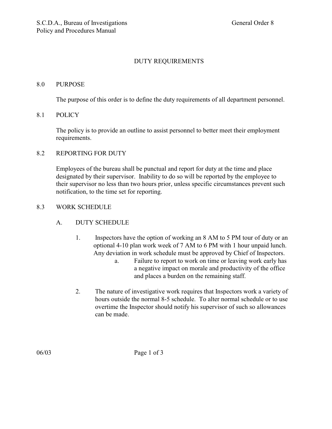# DUTY REQUIREMENTS

#### 8.0 PURPOSE

The purpose of this order is to define the duty requirements of all department personnel.

#### 8.1 POLICY

The policy is to provide an outline to assist personnel to better meet their employment requirements.

#### 8.2 REPORTING FOR DUTY

Employees of the bureau shall be punctual and report for duty at the time and place designated by their supervisor. Inability to do so will be reported by the employee to their supervisor no less than two hours prior, unless specific circumstances prevent such notification, to the time set for reporting.

#### 8.3 WORK SCHEDULE

#### A. DUTY SCHEDULE

- 1. Inspectors have the option of working an 8 AM to 5 PM tour of duty or an optional 4-10 plan work week of 7 AM to 6 PM with 1 hour unpaid lunch. Any deviation in work schedule must be approved by Chief of Inspectors.
	- a. Failure to report to work on time or leaving work early has a negative impact on morale and productivity of the office and places a burden on the remaining staff.
- 2. The nature of investigative work requires that Inspectors work a variety of hours outside the normal 8-5 schedule. To alter normal schedule or to use overtime the Inspector should notify his supervisor of such so allowances can be made.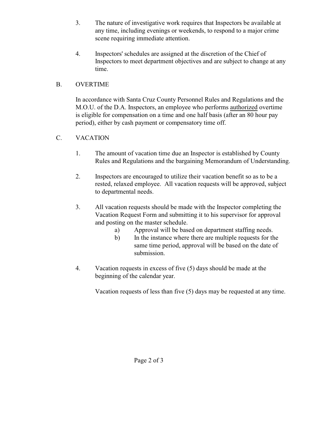- 3. The nature of investigative work requires that Inspectors be available at any time, including evenings or weekends, to respond to a major crime scene requiring immediate attention.
- 4. Inspectors' schedules are assigned at the discretion of the Chief of Inspectors to meet department objectives and are subject to change at any time.

# B. OVERTIME

In accordance with Santa Cruz County Personnel Rules and Regulations and the M.O.U. of the D.A. Inspectors, an employee who performs authorized overtime is eligible for compensation on a time and one half basis (after an 80 hour pay period), either by cash payment or compensatory time off.

# C. VACATION

- 1. The amount of vacation time due an Inspector is established by County Rules and Regulations and the bargaining Memorandum of Understanding.
- 2. Inspectors are encouraged to utilize their vacation benefit so as to be a rested, relaxed employee. All vacation requests will be approved, subject to departmental needs.
- 3. All vacation requests should be made with the Inspector completing the Vacation Request Form and submitting it to his supervisor for approval and posting on the master schedule.
	- a) Approval will be based on department staffing needs.
	- b) In the instance where there are multiple requests for the same time period, approval will be based on the date of submission.
- 4. Vacation requests in excess of five (5) days should be made at the beginning of the calendar year.

Vacation requests of less than five (5) days may be requested at any time.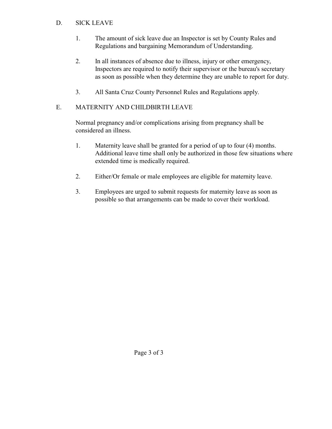#### D. SICK LEAVE

- 1. The amount of sick leave due an Inspector is set by County Rules and Regulations and bargaining Memorandum of Understanding.
- 2. In all instances of absence due to illness, injury or other emergency, Inspectors are required to notify their supervisor or the bureau's secretary as soon as possible when they determine they are unable to report for duty.
- 3. All Santa Cruz County Personnel Rules and Regulations apply.

# E. MATERNITY AND CHILDBIRTH LEAVE

Normal pregnancy and/or complications arising from pregnancy shall be considered an illness.

- 1. Maternity leave shall be granted for a period of up to four (4) months. Additional leave time shall only be authorized in those few situations where extended time is medically required.
- 2. Either/Or female or male employees are eligible for maternity leave.
- 3. Employees are urged to submit requests for maternity leave as soon as possible so that arrangements can be made to cover their workload.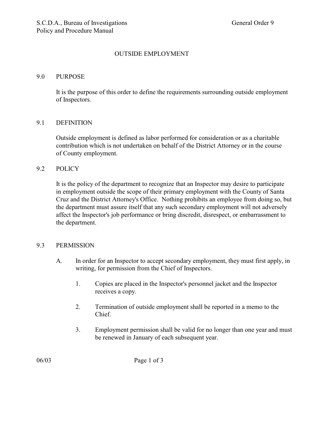# OUTSIDE EMPLOYMENT

#### 9.0 PURPOSE

It is the purpose of this order to define the requirements surrounding outside employment of Inspectors.

#### 9.1 DEFINITION

Outside employment is defined as labor performed for consideration or as a charitable contribution which is not undertaken on behalf of the District Attorney or in the course of County employment.

#### 9.2 POLICY

It is the policy of the department to recognize that an Inspector may desire to participate in employment outside the scope of their primary employment with the County of Santa Cruz and the District Attorney's Office. Nothing prohibits an employee from doing so, but the department must assure itself that any such secondary employment will not adversely affect the Inspector's job performance or bring discredit, disrespect, or embarrassment to the department.

#### 9.3 PERMISSION

- A. In order for an Inspector to accept secondary employment, they must first apply, in writing, for permission from the Chief of Inspectors.
	- 1. Copies are placed in the Inspector's personnel jacket and the Inspector receives a copy.
	- 2. Termination of outside employment shall be reported in a memo to the Chief.
	- 3. Employment permission shall be valid for no longer than one year and must be renewed in January of each subsequent year.

06/03 Page 1 of 3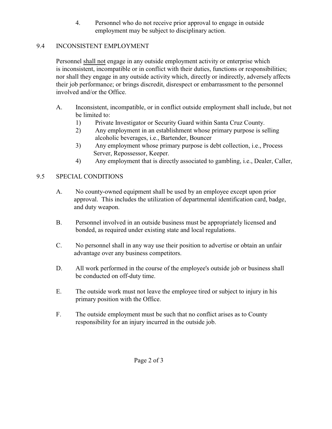4. Personnel who do not receive prior approval to engage in outside employment may be subject to disciplinary action.

# 9.4 INCONSISTENT EMPLOYMENT

Personnel shall not engage in any outside employment activity or enterprise which is inconsistent, incompatible or in conflict with their duties, functions or responsibilities; nor shall they engage in any outside activity which, directly or indirectly, adversely affects their job performance; or brings discredit, disrespect or embarrassment to the personnel involved and/or the Office.

- A. Inconsistent, incompatible, or in conflict outside employment shall include, but not be limited to:
	- 1) Private Investigator or Security Guard within Santa Cruz County.
	- 2) Any employment in an establishment whose primary purpose is selling alcoholic beverages, i.e., Bartender, Bouncer
	- 3) Any employment whose primary purpose is debt collection, i.e., Process Server, Repossessor, Keeper.
	- 4) Any employment that is directly associated to gambling, i.e., Dealer, Caller,

# 9.5 SPECIAL CONDITIONS

- A. No county-owned equipment shall be used by an employee except upon prior approval. This includes the utilization of departmental identification card, badge, and duty weapon.
- B. Personnel involved in an outside business must be appropriately licensed and bonded, as required under existing state and local regulations.
- C. No personnel shall in any way use their position to advertise or obtain an unfair advantage over any business competitors.
- D. All work performed in the course of the employee's outside job or business shall be conducted on off-duty time.
- E. The outside work must not leave the employee tired or subject to injury in his primary position with the Office.
- F. The outside employment must be such that no conflict arises as to County responsibility for an injury incurred in the outside job.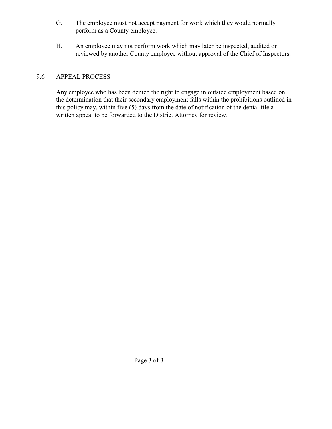- G. The employee must not accept payment for work which they would normally perform as a County employee.
- H. An employee may not perform work which may later be inspected, audited or reviewed by another County employee without approval of the Chief of Inspectors.

### 9.6 APPEAL PROCESS

Any employee who has been denied the right to engage in outside employment based on the determination that their secondary employment falls within the prohibitions outlined in this policy may, within five (5) days from the date of notification of the denial file a written appeal to be forwarded to the District Attorney for review.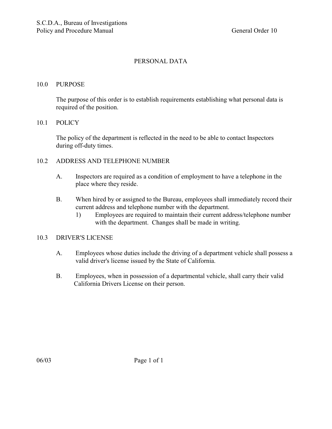# PERSONAL DATA

#### 10.0 PURPOSE

The purpose of this order is to establish requirements establishing what personal data is required of the position.

#### 10.1 POLICY

The policy of the department is reflected in the need to be able to contact Inspectors during off-duty times.

#### 10.2 ADDRESS AND TELEPHONE NUMBER

- A. Inspectors are required as a condition of employment to have a telephone in the place where they reside.
- B. When hired by or assigned to the Bureau, employees shall immediately record their current address and telephone number with the department.
	- 1) Employees are required to maintain their current address/telephone number with the department. Changes shall be made in writing.

#### 10.3 DRIVER'S LICENSE

- A. Employees whose duties include the driving of a department vehicle shall possess a valid driver's license issued by the State of California.
- B. Employees, when in possession of a departmental vehicle, shall carry their valid California Drivers License on their person.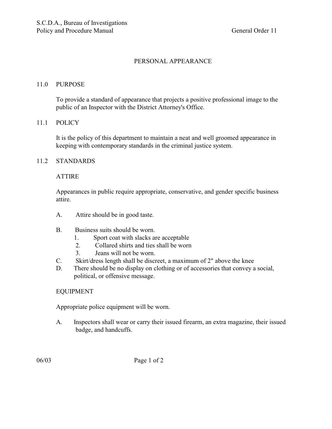# PERSONAL APPEARANCE

#### 11.0 PURPOSE

To provide a standard of appearance that projects a positive professional image to the public of an Inspector with the District Attorney's Office.

#### 11.1 POLICY

It is the policy of this department to maintain a neat and well groomed appearance in keeping with contemporary standards in the criminal justice system.

#### 11.2 STANDARDS

#### ATTIRE

Appearances in public require appropriate, conservative, and gender specific business attire.

- A. Attire should be in good taste.
- B. Business suits should be worn.
	- 1. Sport coat with slacks are acceptable
	- 2. Collared shirts and ties shall be worn
	- 3. Jeans will not be worn.
- C. Skirt/dress length shall be discreet, a maximum of 2" above the knee
- D. There should be no display on clothing or of accessories that convey a social, political, or offensive message.

#### EQUIPMENT

Appropriate police equipment will be worn.

 A. Inspectors shall wear or carry their issued firearm, an extra magazine, their issued badge, and handcuffs.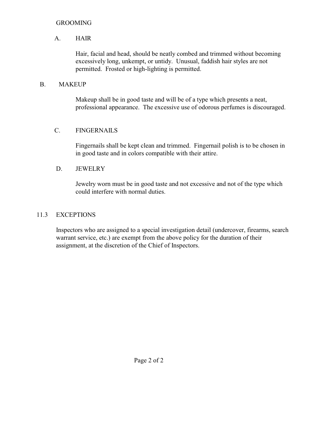#### GROOMING

#### A. HAIR

Hair, facial and head, should be neatly combed and trimmed without becoming excessively long, unkempt, or untidy. Unusual, faddish hair styles are not permitted. Frosted or high-lighting is permitted.

#### B. MAKEUP

Makeup shall be in good taste and will be of a type which presents a neat, professional appearance. The excessive use of odorous perfumes is discouraged.

# C. FINGERNAILS

Fingernails shall be kept clean and trimmed. Fingernail polish is to be chosen in in good taste and in colors compatible with their attire.

#### D. JEWELRY

Jewelry worn must be in good taste and not excessive and not of the type which could interfere with normal duties.

#### 11.3 EXCEPTIONS

Inspectors who are assigned to a special investigation detail (undercover, firearms, search warrant service, etc.) are exempt from the above policy for the duration of their assignment, at the discretion of the Chief of Inspectors.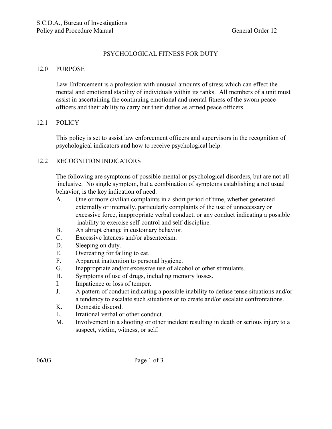# PSYCHOLOGICAL FITNESS FOR DUTY

#### 12.0 PURPOSE

Law Enforcement is a profession with unusual amounts of stress which can effect the mental and emotional stability of individuals within its ranks. All members of a unit must assist in ascertaining the continuing emotional and mental fitness of the sworn peace officers and their ability to carry out their duties as armed peace officers.

#### 12.1 POLICY

This policy is set to assist law enforcement officers and supervisors in the recognition of psychological indicators and how to receive psychological help.

#### 12.2 RECOGNITION INDICATORS

The following are symptoms of possible mental or psychological disorders, but are not all inclusive. No single symptom, but a combination of symptoms establishing a not usual behavior, is the key indication of need.

- A. One or more civilian complaints in a short period of time, whether generated externally or internally, particularly complaints of the use of unnecessary or excessive force, inappropriate verbal conduct, or any conduct indicating a possible inability to exercise self-control and self-discipline.
- B. An abrupt change in customary behavior.
- C. Excessive lateness and/or absenteeism.
- D. Sleeping on duty.
- E. Overeating for failing to eat.
- F. Apparent inattention to personal hygiene.
- G. Inappropriate and/or excessive use of alcohol or other stimulants.
- H. Symptoms of use of drugs, including memory losses.
- I. Impatience or loss of temper.
- J. A pattern of conduct indicating a possible inability to defuse tense situations and/or a tendency to escalate such situations or to create and/or escalate confrontations.
- K. Domestic discord.
- L. Irrational verbal or other conduct.
- M. Involvement in a shooting or other incident resulting in death or serious injury to a suspect, victim, witness, or self.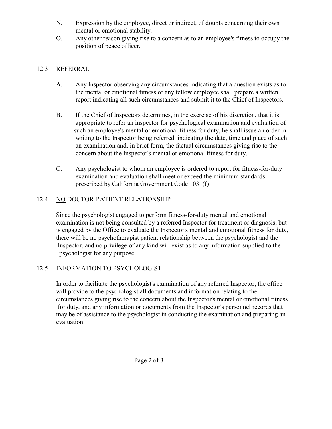- N. Expression by the employee, direct or indirect, of doubts concerning their own mental or emotional stability.
- O. Any other reason giving rise to a concern as to an employee's fitness to occupy the position of peace officer.

## 12.3 REFERRAL

- A. Any Inspector observing any circumstances indicating that a question exists as to the mental or emotional fitness of any fellow employee shall prepare a written report indicating all such circumstances and submit it to the Chief of Inspectors.
- B. If the Chief of Inspectors determines, in the exercise of his discretion, that it is appropriate to refer an inspector for psychological examination and evaluation of such an employee's mental or emotional fitness for duty, he shall issue an order in writing to the Inspector being referred, indicating the date, time and place of such an examination and, in brief form, the factual circumstances giving rise to the concern about the Inspector's mental or emotional fitness for duty.
- C. Any psychologist to whom an employee is ordered to report for fitness-for-duty examination and evaluation shall meet or exceed the minimum standards prescribed by California Government Code 1031(f).

# 12.4 NO DOCTOR-PATIENT RELATIONSHIP

Since the psychologist engaged to perform fitness-for-duty mental and emotional examination is not being consulted by a referred Inspector for treatment or diagnosis, but is engaged by the Office to evaluate the Inspector's mental and emotional fitness for duty, there will be no psychotherapist patient relationship between the psychologist and the Inspector, and no privilege of any kind will exist as to any information supplied to the psychologist for any purpose.

## 12.5 INFORMATION TO PSYCHOLOGIST

In order to facilitate the psychologist's examination of any referred Inspector, the office will provide to the psychologist all documents and information relating to the circumstances giving rise to the concern about the Inspector's mental or emotional fitness for duty, and any information or documents from the Inspector's personnel records that may be of assistance to the psychologist in conducting the examination and preparing an evaluation.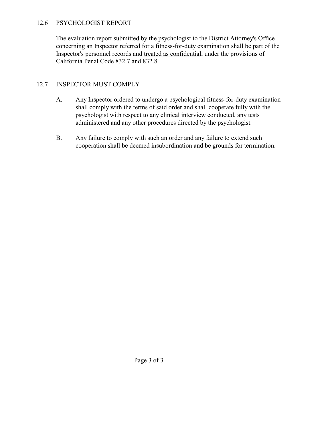## 12.6 PSYCHOLOGIST REPORT

The evaluation report submitted by the psychologist to the District Attorney's Office concerning an Inspector referred for a fitness-for-duty examination shall be part of the Inspector's personnel records and treated as confidential, under the provisions of California Penal Code 832.7 and 832.8.

# 12.7 INSPECTOR MUST COMPLY

- A. Any Inspector ordered to undergo a psychological fitness-for-duty examination shall comply with the terms of said order and shall cooperate fully with the psychologist with respect to any clinical interview conducted, any tests administered and any other procedures directed by the psychologist.
- B. Any failure to comply with such an order and any failure to extend such cooperation shall be deemed insubordination and be grounds for termination.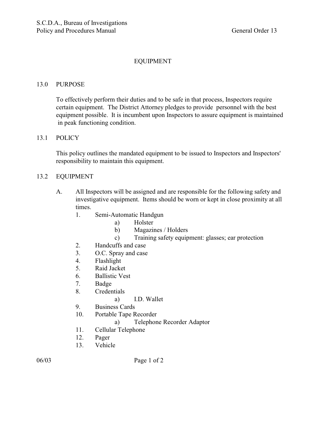## EQUIPMENT

### 13.0 PURPOSE

To effectively perform their duties and to be safe in that process, Inspectors require certain equipment. The District Attorney pledges to provide personnel with the best equipment possible. It is incumbent upon Inspectors to assure equipment is maintained in peak functioning condition.

### 13.1 POLICY

This policy outlines the mandated equipment to be issued to Inspectors and Inspectors' responsibility to maintain this equipment.

### 13.2 EQUIPMENT

- A. All Inspectors will be assigned and are responsible for the following safety and investigative equipment. Items should be worn or kept in close proximity at all times.
	- 1. Semi-Automatic Handgun
		- a) Holster
		- b) Magazines / Holders
		- c) Training safety equipment: glasses; ear protection
	- 2. Handcuffs and case
	- 3. O.C. Spray and case
	- 4. Flashlight
	- 5. Raid Jacket
	- 6. Ballistic Vest
	- 7. Badge
	- 8. Credentials

a) I.D. Wallet

- 9. Business Cards
- 10. Portable Tape Recorder
	- a) Telephone Recorder Adaptor
- 11. Cellular Telephone
- 12. Pager
- 13. Vehicle

06/03 Page 1 of 2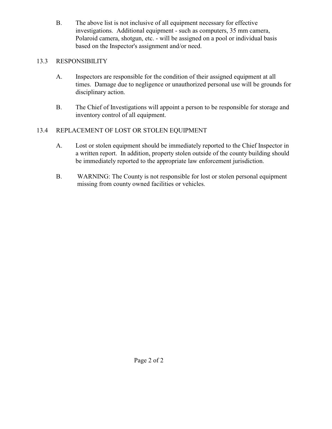B. The above list is not inclusive of all equipment necessary for effective investigations. Additional equipment - such as computers, 35 mm camera, Polaroid camera, shotgun, etc. - will be assigned on a pool or individual basis based on the Inspector's assignment and/or need.

# 13.3 RESPONSIBILITY

- A. Inspectors are responsible for the condition of their assigned equipment at all times. Damage due to negligence or unauthorized personal use will be grounds for disciplinary action.
- B. The Chief of Investigations will appoint a person to be responsible for storage and inventory control of all equipment.

## 13.4 REPLACEMENT OF LOST OR STOLEN EQUIPMENT

- A. Lost or stolen equipment should be immediately reported to the Chief Inspector in a written report. In addition, property stolen outside of the county building should be immediately reported to the appropriate law enforcement jurisdiction.
- B. WARNING: The County is not responsible for lost or stolen personal equipment missing from county owned facilities or vehicles.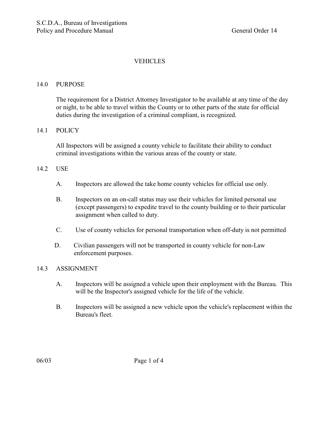# VEHICLES

### 14.0 PURPOSE

The requirement for a District Attorney Investigator to be available at any time of the day or night, to be able to travel within the County or to other parts of the state for official duties during the investigation of a criminal compliant, is recognized.

### 14.1 POLICY

All Inspectors will be assigned a county vehicle to facilitate their ability to conduct criminal investigations within the various areas of the county or state.

### 14.2 USE

- A. Inspectors are allowed the take home county vehicles for official use only.
- B. Inspectors on an on-call status may use their vehicles for limited personal use (except passengers) to expedite travel to the county building or to their particular assignment when called to duty.
- C. Use of county vehicles for personal transportation when off-duty is not permitted
- D.Civilian passengers will not be transported in county vehicle for non-Law enforcement purposes.

### 14.3 ASSIGNMENT

- A. Inspectors will be assigned a vehicle upon their employment with the Bureau. This will be the Inspector's assigned vehicle for the life of the vehicle.
- B. Inspectors will be assigned a new vehicle upon the vehicle's replacement within the Bureau's fleet.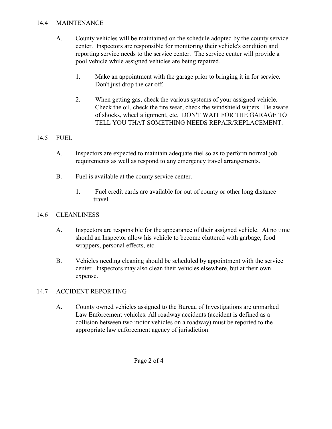## 14.4 MAINTENANCE

- A. County vehicles will be maintained on the schedule adopted by the county service center. Inspectors are responsible for monitoring their vehicle's condition and reporting service needs to the service center. The service center will provide a pool vehicle while assigned vehicles are being repaired.
	- 1. Make an appointment with the garage prior to bringing it in for service. Don't just drop the car off.
	- 2. When getting gas, check the various systems of your assigned vehicle. Check the oil, check the tire wear, check the windshield wipers. Be aware of shocks, wheel alignment, etc. DON'T WAIT FOR THE GARAGE TO TELL YOU THAT SOMETHING NEEDS REPAIR/REPLACEMENT.

## 14.5 FUEL

- A. Inspectors are expected to maintain adequate fuel so as to perform normal job requirements as well as respond to any emergency travel arrangements.
- B. Fuel is available at the county service center.
	- 1. Fuel credit cards are available for out of county or other long distance travel.

## 14.6 CLEANLINESS

- A. Inspectors are responsible for the appearance of their assigned vehicle. At no time should an Inspector allow his vehicle to become cluttered with garbage, food wrappers, personal effects, etc.
- B. Vehicles needing cleaning should be scheduled by appointment with the service center. Inspectors may also clean their vehicles elsewhere, but at their own expense.

# 14.7 ACCIDENT REPORTING

A. County owned vehicles assigned to the Bureau of Investigations are unmarked Law Enforcement vehicles. All roadway accidents (accident is defined as a collision between two motor vehicles on a roadway) must be reported to the appropriate law enforcement agency of jurisdiction.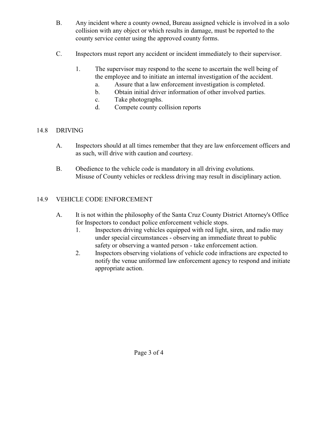- B. Any incident where a county owned, Bureau assigned vehicle is involved in a solo collision with any object or which results in damage, must be reported to the county service center using the approved county forms.
- C. Inspectors must report any accident or incident immediately to their supervisor.
	- 1. The supervisor may respond to the scene to ascertain the well being of the employee and to initiate an internal investigation of the accident.
		- a. Assure that a law enforcement investigation is completed.
		- b. Obtain initial driver information of other involved parties.
		- c. Take photographs.
		- d. Compete county collision reports

# 14.8 DRIVING

- A. Inspectors should at all times remember that they are law enforcement officers and as such, will drive with caution and courtesy.
- B. Obedience to the vehicle code is mandatory in all driving evolutions. Misuse of County vehicles or reckless driving may result in disciplinary action.

# 14.9 VEHICLE CODE ENFORCEMENT

- A. It is not within the philosophy of the Santa Cruz County District Attorney's Office for Inspectors to conduct police enforcement vehicle stops.
	- 1. Inspectors driving vehicles equipped with red light, siren, and radio may under special circumstances - observing an immediate threat to public safety or observing a wanted person - take enforcement action.
	- 2. Inspectors observing violations of vehicle code infractions are expected to notify the venue uniformed law enforcement agency to respond and initiate appropriate action.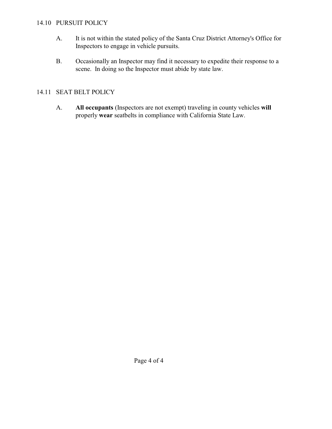## 14.10 PURSUIT POLICY

- A. It is not within the stated policy of the Santa Cruz District Attorney's Office for Inspectors to engage in vehicle pursuits.
- B. Occasionally an Inspector may find it necessary to expedite their response to a scene. In doing so the Inspector must abide by state law.

## 14.11 SEAT BELT POLICY

A. **All occupants** (Inspectors are not exempt) traveling in county vehicles **will** properly **wear** seatbelts in compliance with California State Law.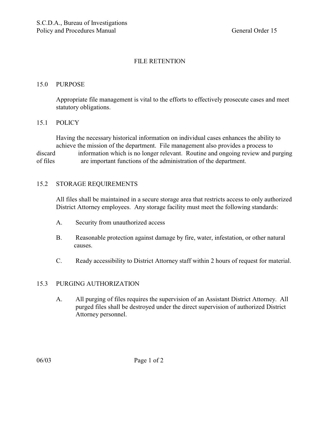## FILE RETENTION

### 15.0 PURPOSE

Appropriate file management is vital to the efforts to effectively prosecute cases and meet statutory obligations.

### 15.1 POLICY

Having the necessary historical information on individual cases enhances the ability to achieve the mission of the department. File management also provides a process to discard information which is no longer relevant. Routine and ongoing review and purging of files are important functions of the administration of the department.

### 15.2 STORAGE REQUIREMENTS

All files shall be maintained in a secure storage area that restricts access to only authorized District Attorney employees. Any storage facility must meet the following standards:

- A. Security from unauthorized access
- B. Reasonable protection against damage by fire, water, infestation, or other natural causes.
- C. Ready accessibility to District Attorney staff within 2 hours of request for material.

### 15.3 PURGING AUTHORIZATION

A. All purging of files requires the supervision of an Assistant District Attorney. All purged files shall be destroyed under the direct supervision of authorized District Attorney personnel.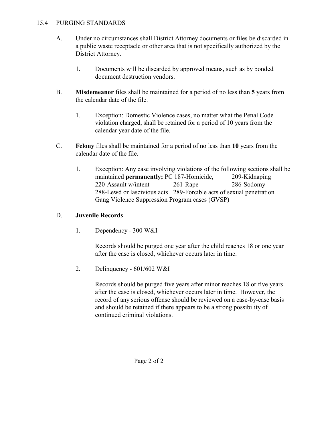## 15.4 PURGING STANDARDS

- A. Under no circumstances shall District Attorney documents or files be discarded in a public waste receptacle or other area that is not specifically authorized by the District Attorney.
	- 1. Documents will be discarded by approved means, such as by bonded document destruction vendors.
- B. **Misdemeanor** files shall be maintained for a period of no less than **5** years from the calendar date of the file.
	- 1. Exception: Domestic Violence cases, no matter what the Penal Code violation charged, shall be retained for a period of 10 years from the calendar year date of the file.
- C. **Felony** files shall be maintained for a period of no less than **10** years from the calendar date of the file.
	- 1. Exception: Any case involving violations of the following sections shall be maintained **permanently**; PC 187-Homicide, 209-Kidnaping 220-Assault w/intent 261-Rape 286-Sodomy 288-Lewd or lascivious acts 289-Forcible acts of sexual penetration Gang Violence Suppression Program cases (GVSP)

## D. **Juvenile Records**

1. Dependency - 300 W&I

Records should be purged one year after the child reaches 18 or one year after the case is closed, whichever occurs later in time.

2. Delinquency - 601/602 W&I

Records should be purged five years after minor reaches 18 or five years after the case is closed, whichever occurs later in time. However, the record of any serious offense should be reviewed on a case-by-case basis and should be retained if there appears to be a strong possibility of continued criminal violations.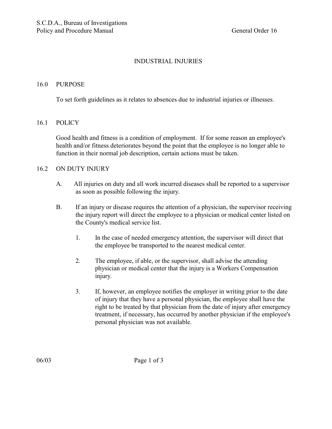# INDUSTRIAL INJURIES

### 16.0 PURPOSE

To set forth guidelines as it relates to absences due to industrial injuries or illnesses.

### 16.1 POLICY

 Good health and fitness is a condition of employment. If for some reason an employee's health and/or fitness deteriorates beyond the point that the employee is no longer able to function in their normal job description, certain actions must be taken.

### 16.2 ON DUTY INJURY

- A. All injuries on duty and all work incurred diseases shall be reported to a supervisor as soon as possible following the injury.
- B. If an injury or disease requires the attention of a physician, the supervisor receiving the injury report will direct the employee to a physician or medical center listed on the County's medical service list.
	- 1. In the case of needed emergency attention, the supervisor will direct that the employee be transported to the nearest medical center.
	- 2. The employee, if able, or the supervisor, shall advise the attending physician or medical center that the injury is a Workers Compensation injury.
	- 3. If, however, an employee notifies the employer in writing prior to the date of injury that they have a personal physician, the employee shall have the right to be treated by that physician from the date of injury after emergency treatment, if necessary, has occurred by another physician if the employee's personal physician was not available.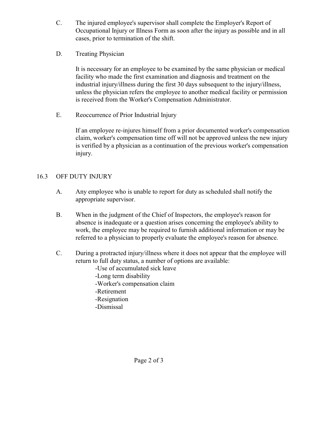- C. The injured employee's supervisor shall complete the Employer's Report of Occupational Injury or Illness Form as soon after the injury as possible and in all cases, prior to termination of the shift.
- D. Treating Physician

It is necessary for an employee to be examined by the same physician or medical facility who made the first examination and diagnosis and treatment on the industrial injury/illness during the first 30 days subsequent to the injury/illness, unless the physician refers the employee to another medical facility or permission is received from the Worker's Compensation Administrator.

E. Reoccurrence of Prior Industrial Injury

If an employee re-injures himself from a prior documented worker's compensation claim, worker's compensation time off will not be approved unless the new injury is verified by a physician as a continuation of the previous worker's compensation injury.

# 16.3 OFF DUTY INJURY

- A. Any employee who is unable to report for duty as scheduled shall notify the appropriate supervisor.
- B. When in the judgment of the Chief of Inspectors, the employee's reason for absence is inadequate or a question arises concerning the employee's ability to work, the employee may be required to furnish additional information or may be referred to a physician to properly evaluate the employee's reason for absence.
- C. During a protracted injury/illness where it does not appear that the employee will return to full duty status, a number of options are available:
	- -Use of accumulated sick leave
	- -Long term disability
	- -Worker's compensation claim
	- -Retirement
	- -Resignation
	- -Dismissal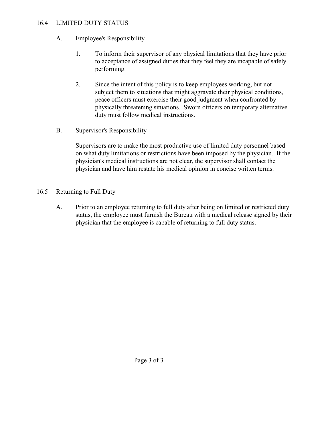## 16.4 LIMITED DUTY STATUS

## A. Employee's Responsibility

- 1. To inform their supervisor of any physical limitations that they have prior to acceptance of assigned duties that they feel they are incapable of safely performing.
- 2. Since the intent of this policy is to keep employees working, but not subject them to situations that might aggravate their physical conditions, peace officers must exercise their good judgment when confronted by physically threatening situations. Sworn officers on temporary alternative duty must follow medical instructions.
- B. Supervisor's Responsibility

Supervisors are to make the most productive use of limited duty personnel based on what duty limitations or restrictions have been imposed by the physician. If the physician's medical instructions are not clear, the supervisor shall contact the physician and have him restate his medical opinion in concise written terms.

- 16.5 Returning to Full Duty
	- A. Prior to an employee returning to full duty after being on limited or restricted duty status, the employee must furnish the Bureau with a medical release signed by their physician that the employee is capable of returning to full duty status.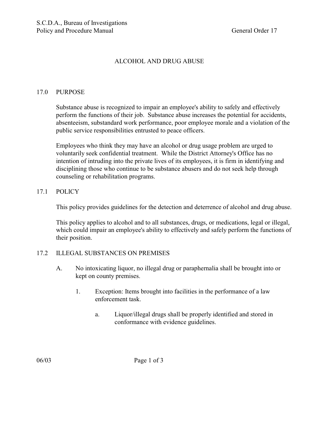# ALCOHOL AND DRUG ABUSE

### 17.0 PURPOSE

Substance abuse is recognized to impair an employee's ability to safely and effectively perform the functions of their job. Substance abuse increases the potential for accidents, absenteeism, substandard work performance, poor employee morale and a violation of the public service responsibilities entrusted to peace officers.

Employees who think they may have an alcohol or drug usage problem are urged to voluntarily seek confidential treatment. While the District Attorney's Office has no intention of intruding into the private lives of its employees, it is firm in identifying and disciplining those who continue to be substance abusers and do not seek help through counseling or rehabilitation programs.

### 17.1 POLICY

This policy provides guidelines for the detection and deterrence of alcohol and drug abuse.

This policy applies to alcohol and to all substances, drugs, or medications, legal or illegal, which could impair an employee's ability to effectively and safely perform the functions of their position.

## 17.2 ILLEGAL SUBSTANCES ON PREMISES

- A. No intoxicating liquor, no illegal drug or paraphernalia shall be brought into or kept on county premises.
	- 1. Exception: Items brought into facilities in the performance of a law enforcement task.
		- a. Liquor/illegal drugs shall be properly identified and stored in conformance with evidence guidelines.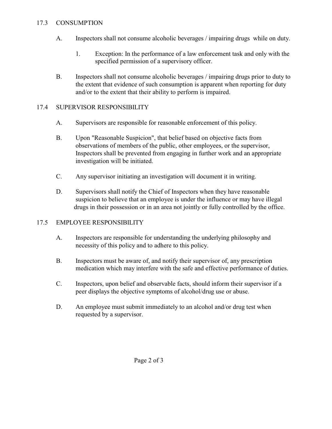## 17.3 CONSUMPTION

- A. Inspectors shall not consume alcoholic beverages / impairing drugs while on duty.
	- 1. Exception: In the performance of a law enforcement task and only with the specified permission of a supervisory officer.
- B. Inspectors shall not consume alcoholic beverages / impairing drugs prior to duty to the extent that evidence of such consumption is apparent when reporting for duty and/or to the extent that their ability to perform is impaired.

## 17.4 SUPERVISOR RESPONSIBILITY

- A. Supervisors are responsible for reasonable enforcement of this policy.
- B. Upon "Reasonable Suspicion", that belief based on objective facts from observations of members of the public, other employees, or the supervisor, Inspectors shall be prevented from engaging in further work and an appropriate investigation will be initiated.
- C. Any supervisor initiating an investigation will document it in writing.
- D. Supervisors shall notify the Chief of Inspectors when they have reasonable suspicion to believe that an employee is under the influence or may have illegal drugs in their possession or in an area not jointly or fully controlled by the office.

# 17.5 EMPLOYEE RESPONSIBILITY

- A. Inspectors are responsible for understanding the underlying philosophy and necessity of this policy and to adhere to this policy.
- B. Inspectors must be aware of, and notify their supervisor of, any prescription medication which may interfere with the safe and effective performance of duties.
- C. Inspectors, upon belief and observable facts, should inform their supervisor if a peer displays the objective symptoms of alcohol/drug use or abuse.
- D. An employee must submit immediately to an alcohol and/or drug test when requested by a supervisor.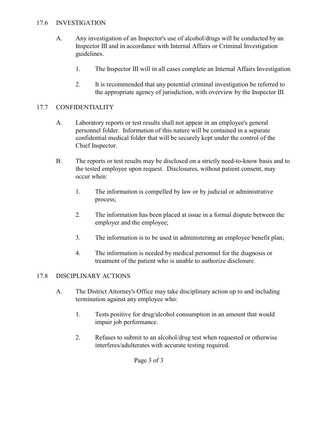## 17.6 INVESTIGATION

- A. Any investigation of an Inspector's use of alcohol/drugs will be conducted by an Inspector III and in accordance with Internal Affairs or Criminal Investigation guidelines.
	- 1. The Inspector III will in all cases complete an Internal Affairs Investigation
	- 2. It is recommended that any potential criminal investigation be referred to the appropriate agency of jurisdiction, with overview by the Inspector III.

# 17.7 CONFIDENTIALITY

- A. Laboratory reports or test results shall not appear in an employee's general personnel folder. Information of this nature will be contained in a separate confidential medical folder that will be securely kept under the control of the Chief Inspector.
- B. The reports or test results may be disclosed on a strictly need-to-know basis and to the tested employee upon request. Disclosures, without patient consent, may occur when:
	- 1. The information is compelled by law or by judicial or administrative process;
	- 2. The information has been placed at issue in a formal dispute between the employer and the employee;
	- 3. The information is to be used in administering an employee benefit plan;
	- 4. The information is needed by medical personnel for the diagnosis or treatment of the patient who is unable to authorize disclosure.

## 17.8 DISCIPLINARY ACTIONS

- A. The District Attorney's Office may take disciplinary action up to and including termination against any employee who:
	- 1. Tests positive for drug/alcohol consumption in an amount that would impair job performance.
	- 2. Refuses to submit to an alcohol/drug test when requested or otherwise interferes/adulterates with accurate testing required.

Page 3 of 3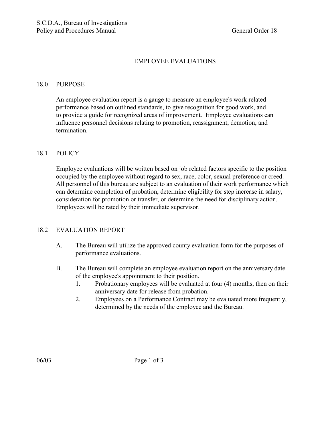# EMPLOYEE EVALUATIONS

### 18.0 PURPOSE

An employee evaluation report is a gauge to measure an employee's work related performance based on outlined standards, to give recognition for good work, and to provide a guide for recognized areas of improvement. Employee evaluations can influence personnel decisions relating to promotion, reassignment, demotion, and termination.

### 18.1 POLICY

Employee evaluations will be written based on job related factors specific to the position occupied by the employee without regard to sex, race, color, sexual preference or creed. All personnel of this bureau are subject to an evaluation of their work performance which can determine completion of probation, determine eligibility for step increase in salary, consideration for promotion or transfer, or determine the need for disciplinary action. Employees will be rated by their immediate supervisor.

## 18.2 EVALUATION REPORT

- A. The Bureau will utilize the approved county evaluation form for the purposes of performance evaluations.
- B. The Bureau will complete an employee evaluation report on the anniversary date of the employee's appointment to their position.
	- 1. Probationary employees will be evaluated at four (4) months, then on their anniversary date for release from probation.
	- 2. Employees on a Performance Contract may be evaluated more frequently, determined by the needs of the employee and the Bureau.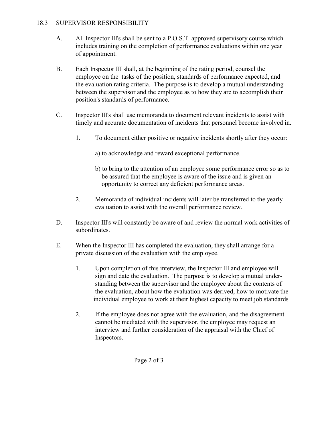### 18.3 SUPERVISOR RESPONSIBILITY

- A. All Inspector III's shall be sent to a P.O.S.T. approved supervisory course which includes training on the completion of performance evaluations within one year of appointment.
- B. Each Inspector III shall, at the beginning of the rating period, counsel the employee on the tasks of the position, standards of performance expected, and the evaluation rating criteria. The purpose is to develop a mutual understanding between the supervisor and the employee as to how they are to accomplish their position's standards of performance.
- C. Inspector III's shall use memoranda to document relevant incidents to assist with timely and accurate documentation of incidents that personnel become involved in.
	- 1. To document either positive or negative incidents shortly after they occur:
		- a) to acknowledge and reward exceptional performance.
		- b) to bring to the attention of an employee some performance error so as to be assured that the employee is aware of the issue and is given an opportunity to correct any deficient performance areas.
	- 2. Memoranda of individual incidents will later be transferred to the yearly evaluation to assist with the overall performance review.
- D. Inspector III's will constantly be aware of and review the normal work activities of subordinates.
- E. When the Inspector III has completed the evaluation, they shall arrange for a private discussion of the evaluation with the employee.
	- 1. Upon completion of this interview, the Inspector III and employee will sign and date the evaluation. The purpose is to develop a mutual understanding between the supervisor and the employee about the contents of the evaluation, about how the evaluation was derived, how to motivate the individual employee to work at their highest capacity to meet job standards
	- 2. If the employee does not agree with the evaluation, and the disagreement cannot be mediated with the supervisor, the employee may request an interview and further consideration of the appraisal with the Chief of Inspectors.

Page 2 of 3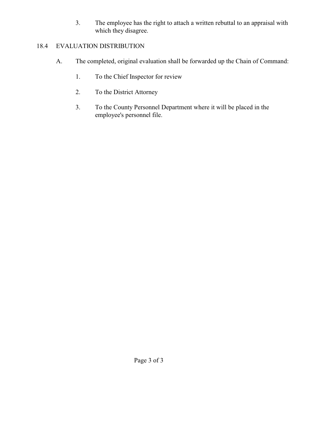3. The employee has the right to attach a written rebuttal to an appraisal with which they disagree.

# 18.4 EVALUATION DISTRIBUTION

- A. The completed, original evaluation shall be forwarded up the Chain of Command:
	- 1. To the Chief Inspector for review
	- 2. To the District Attorney
	- 3. To the County Personnel Department where it will be placed in the employee's personnel file.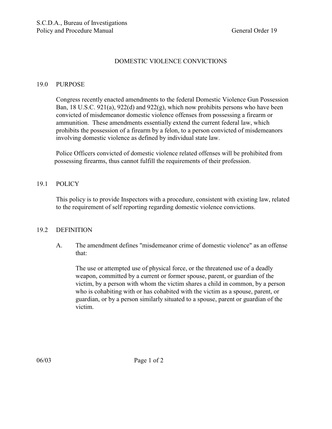# DOMESTIC VIOLENCE CONVICTIONS

### 19.0 PURPOSE

Congress recently enacted amendments to the federal Domestic Violence Gun Possession Ban, 18 U.S.C. 921(a), 922(d) and 922(g), which now prohibits persons who have been convicted of misdemeanor domestic violence offenses from possessing a firearm or ammunition. These amendments essentially extend the current federal law, which prohibits the possession of a firearm by a felon, to a person convicted of misdemeanors involving domestic violence as defined by individual state law.

Police Officers convicted of domestic violence related offenses will be prohibited from possessing firearms, thus cannot fulfill the requirements of their profession.

### 19.1 POLICY

This policy is to provide Inspectors with a procedure, consistent with existing law, related to the requirement of self reporting regarding domestic violence convictions.

### 19.2 DEFINITION

A. The amendment defines "misdemeanor crime of domestic violence" as an offense that:

The use or attempted use of physical force, or the threatened use of a deadly weapon, committed by a current or former spouse, parent, or guardian of the victim, by a person with whom the victim shares a child in common, by a person who is cohabiting with or has cohabited with the victim as a spouse, parent, or guardian, or by a person similarly situated to a spouse, parent or guardian of the victim.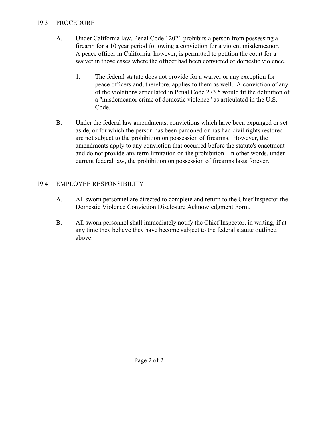## 19.3 PROCEDURE

- A. Under California law, Penal Code 12021 prohibits a person from possessing a firearm for a 10 year period following a conviction for a violent misdemeanor. A peace officer in California, however, is permitted to petition the court for a waiver in those cases where the officer had been convicted of domestic violence.
	- 1. The federal statute does not provide for a waiver or any exception for peace officers and, therefore, applies to them as well. A conviction of any of the violations articulated in Penal Code 273.5 would fit the definition of a "misdemeanor crime of domestic violence" as articulated in the U.S. Code.
- B. Under the federal law amendments, convictions which have been expunged or set aside, or for which the person has been pardoned or has had civil rights restored are not subject to the prohibition on possession of firearms. However, the amendments apply to any conviction that occurred before the statute's enactment and do not provide any term limitation on the prohibition. In other words, under current federal law, the prohibition on possession of firearms lasts forever.

# 19.4 EMPLOYEE RESPONSIBILITY

- A. All sworn personnel are directed to complete and return to the Chief Inspector the Domestic Violence Conviction Disclosure Acknowledgment Form.
- B. All sworn personnel shall immediately notify the Chief Inspector, in writing, if at any time they believe they have become subject to the federal statute outlined above.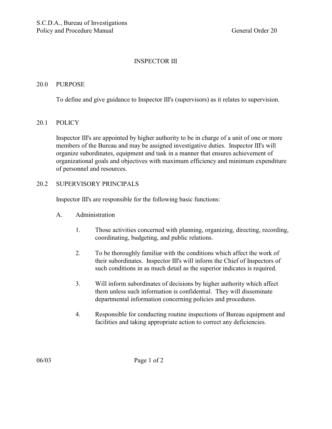# INSPECTOR III

### 20.0 PURPOSE

To define and give guidance to Inspector III's (supervisors) as it relates to supervision.

## 20.1 POLICY

Inspector III's are appointed by higher authority to be in charge of a unit of one or more members of the Bureau and may be assigned investigative duties. Inspector III's will organize subordinates, equipment and task in a manner that ensures achievement of organizational goals and objectives with maximum efficiency and minimum expenditure of personnel and resources.

### 20.2 SUPERVISORY PRINCIPALS

Inspector III's are responsible for the following basic functions:

- A. Administration
	- 1. Those activities concerned with planning, organizing, directing, recording, coordinating, budgeting, and public relations.
	- 2. To be thoroughly familiar with the conditions which affect the work of their subordinates. Inspector III's will inform the Chief of Inspectors of such conditions in as much detail as the superior indicates is required.
	- 3. Will inform subordinates of decisions by higher authority which affect them unless such information is confidential. They will disseminate departmental information concerning policies and procedures.
	- 4. Responsible for conducting routine inspections of Bureau equipment and facilities and taking appropriate action to correct any deficiencies.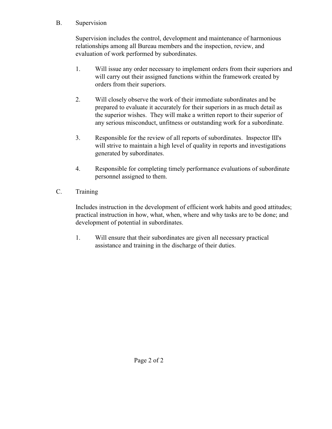## B. Supervision

Supervision includes the control, development and maintenance of harmonious relationships among all Bureau members and the inspection, review, and evaluation of work performed by subordinates.

- 1. Will issue any order necessary to implement orders from their superiors and will carry out their assigned functions within the framework created by orders from their superiors.
- 2. Will closely observe the work of their immediate subordinates and be prepared to evaluate it accurately for their superiors in as much detail as the superior wishes. They will make a written report to their superior of any serious misconduct, unfitness or outstanding work for a subordinate.
- 3. Responsible for the review of all reports of subordinates. Inspector III's will strive to maintain a high level of quality in reports and investigations generated by subordinates.
- 4. Responsible for completing timely performance evaluations of subordinate personnel assigned to them.
- C. Training

Includes instruction in the development of efficient work habits and good attitudes; practical instruction in how, what, when, where and why tasks are to be done; and development of potential in subordinates.

1. Will ensure that their subordinates are given all necessary practical assistance and training in the discharge of their duties.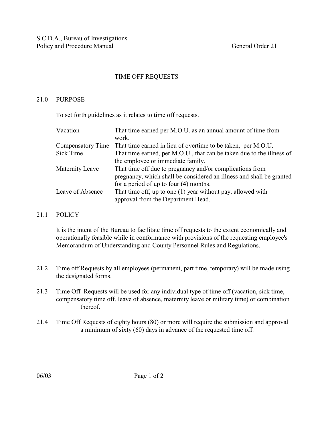# TIME OFF REQUESTS

# 21.0 PURPOSE

To set forth guidelines as it relates to time off requests.

| Vacation          | That time earned per M.O.U. as an annual amount of time from          |
|-------------------|-----------------------------------------------------------------------|
|                   | work.                                                                 |
| Compensatory Time | That time earned in lieu of overtime to be taken, per M.O.U.          |
| Sick Time         | That time earned, per M.O.U., that can be taken due to the illness of |
|                   | the employee or immediate family.                                     |
| Maternity Leave   | That time off due to pregnancy and/or complications from              |
|                   | pregnancy, which shall be considered an illness and shall be granted  |
|                   | for a period of up to four $(4)$ months.                              |
| Leave of Absence  | That time off, up to one $(1)$ year without pay, allowed with         |
|                   | approval from the Department Head.                                    |

# 21.1 POLICY

It is the intent of the Bureau to facilitate time off requests to the extent economically and operationally feasible while in conformance with provisions of the requesting employee's Memorandum of Understanding and County Personnel Rules and Regulations.

- 21.2 Time off Requests by all employees (permanent, part time, temporary) will be made using the designated forms.
- 21.3 Time Off Requests will be used for any individual type of time off (vacation, sick time, compensatory time off, leave of absence, maternity leave or military time) or combination thereof.
- 21.4 Time Off Requests of eighty hours (80) or more will require the submission and approval a minimum of sixty (60) days in advance of the requested time off.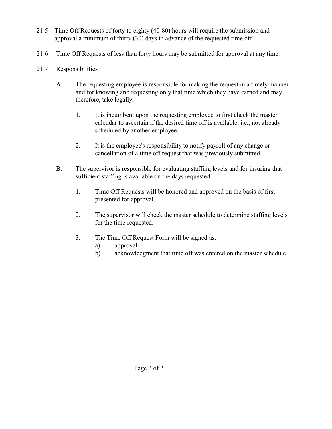- 21.5 Time Off Requests of forty to eighty (40-80) hours will require the submission and approval a minimum of thirty (30) days in advance of the requested time off.
- 21.6 Time Off Requests of less than forty hours may be submitted for approval at any time.
- 21.7 Responsibilities
	- A. The requesting employee is responsible for making the request in a timely manner and for knowing and requesting only that time which they have earned and may therefore, take legally.
		- 1. It is incumbent upon the requesting employee to first check the master calendar to ascertain if the desired time off is available, i.e., not already scheduled by another employee.
		- 2. It is the employee's responsibility to notify payroll of any change or cancellation of a time off request that was previously submitted.
	- B. The supervisor is responsible for evaluating staffing levels and for insuring that sufficient staffing is available on the days requested.
		- 1. Time Off Requests will be honored and approved on the basis of first presented for approval.
		- 2. The supervisor will check the master schedule to determine staffing levels for the time requested.
		- 3. The Time Off Request Form will be signed as:
			- a) approval
			- b) acknowledgment that time off was entered on the master schedule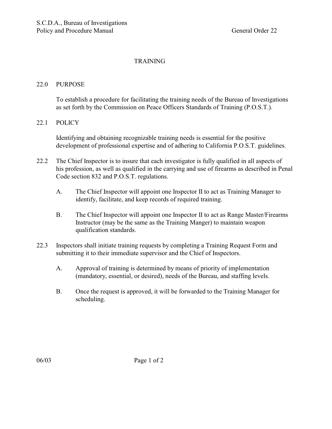## TRAINING

### 22.0 PURPOSE

To establish a procedure for facilitating the training needs of the Bureau of Investigations as set forth by the Commission on Peace Officers Standards of Training (P.O.S.T.).

## 22.1 POLICY

Identifying and obtaining recognizable training needs is essential for the positive development of professional expertise and of adhering to California P.O.S.T. guidelines.

- 22.2 The Chief Inspector is to insure that each investigator is fully qualified in all aspects of his profession, as well as qualified in the carrying and use of firearms as described in Penal Code section 832 and P.O.S.T. regulations.
	- A. The Chief Inspector will appoint one Inspector II to act as Training Manager to identify, facilitate, and keep records of required training.
	- B. The Chief Inspector will appoint one Inspector II to act as Range Master/Firearms Instructor (may be the same as the Training Manger) to maintain weapon qualification standards.
- 22.3 Inspectors shall initiate training requests by completing a Training Request Form and submitting it to their immediate supervisor and the Chief of Inspectors.
	- A. Approval of training is determined by means of priority of implementation (mandatory, essential, or desired), needs of the Bureau, and staffing levels.
	- B. Once the request is approved, it will be forwarded to the Training Manager for scheduling.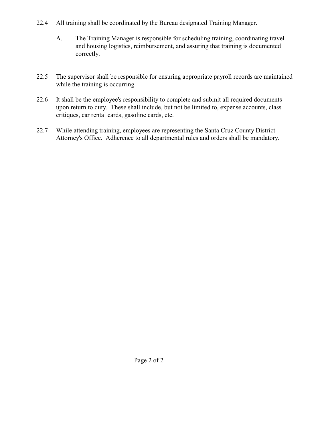- 22.4 All training shall be coordinated by the Bureau designated Training Manager.
	- A. The Training Manager is responsible for scheduling training, coordinating travel and housing logistics, reimbursement, and assuring that training is documented correctly.
- 22.5 The supervisor shall be responsible for ensuring appropriate payroll records are maintained while the training is occurring.
- 22.6 It shall be the employee's responsibility to complete and submit all required documents upon return to duty. These shall include, but not be limited to, expense accounts, class critiques, car rental cards, gasoline cards, etc.
- 22.7 While attending training, employees are representing the Santa Cruz County District Attorney's Office. Adherence to all departmental rules and orders shall be mandatory.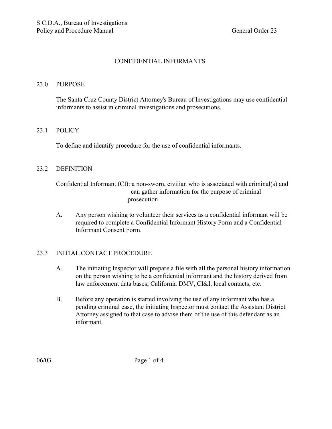# CONFIDENTIAL INFORMANTS

### 23.0 PURPOSE

The Santa Cruz County District Attorney's Bureau of Investigations may use confidential informants to assist in criminal investigations and prosecutions.

### 23.1 POLICY

To define and identify procedure for the use of confidential informants.

## 23.2 DEFINITION

Confidential Informant (CI): a non-sworn, civilian who is associated with criminal(s) and can gather information for the purpose of criminal prosecution.

A. Any person wishing to volunteer their services as a confidential informant will be required to complete a Confidential Informant History Form and a Confidential Informant Consent Form.

## 23.3 INITIAL CONTACT PROCEDURE

- A. The initiating Inspector will prepare a file with all the personal history information on the person wishing to be a confidential informant and the history derived from law enforcement data bases; California DMV, CI&I, local contacts, etc.
- B. Before any operation is started involving the use of any informant who has a pending criminal case, the initiating Inspector must contact the Assistant District Attorney assigned to that case to advise them of the use of this defendant as an informant.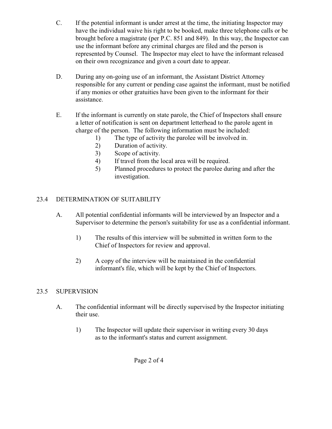- C. If the potential informant is under arrest at the time, the initiating Inspector may have the individual waive his right to be booked, make three telephone calls or be brought before a magistrate (per P.C. 851 and 849). In this way, the Inspector can use the informant before any criminal charges are filed and the person is represented by Counsel. The Inspector may elect to have the informant released on their own recognizance and given a court date to appear.
- D. During any on-going use of an informant, the Assistant District Attorney responsible for any current or pending case against the informant, must be notified if any monies or other gratuities have been given to the informant for their assistance.
- E. If the informant is currently on state parole, the Chief of Inspectors shall ensure a letter of notification is sent on department letterhead to the parole agent in charge of the person. The following information must be included:
	- 1) The type of activity the parolee will be involved in.
	- 2) Duration of activity.
	- 3) Scope of activity.
	- 4) If travel from the local area will be required.
	- 5) Planned procedures to protect the parolee during and after the investigation.

# 23.4 DETERMINATION OF SUITABILITY

- A. All potential confidential informants will be interviewed by an Inspector and a Supervisor to determine the person's suitability for use as a confidential informant.
	- 1) The results of this interview will be submitted in written form to the Chief of Inspectors for review and approval.
	- 2) A copy of the interview will be maintained in the confidential informant's file, which will be kept by the Chief of Inspectors.

# 23.5 SUPERVISION

- A. The confidential informant will be directly supervised by the Inspector initiating their use.
	- 1) The Inspector will update their supervisor in writing every 30 days as to the informant's status and current assignment.

Page 2 of 4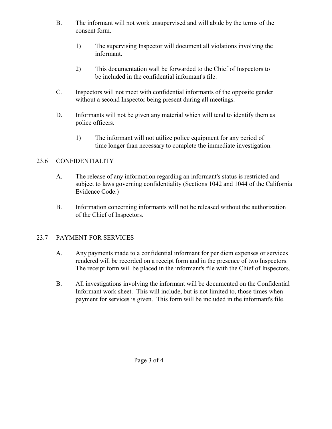- B. The informant will not work unsupervised and will abide by the terms of the consent form.
	- 1) The supervising Inspector will document all violations involving the informant.
	- 2) This documentation wall be forwarded to the Chief of Inspectors to be included in the confidential informant's file.
- C. Inspectors will not meet with confidential informants of the opposite gender without a second Inspector being present during all meetings.
- D. Informants will not be given any material which will tend to identify them as police officers.
	- 1) The informant will not utilize police equipment for any period of time longer than necessary to complete the immediate investigation.

# 23.6 CONFIDENTIALITY

- A. The release of any information regarding an informant's status is restricted and subject to laws governing confidentiality (Sections 1042 and 1044 of the California Evidence Code.)
- B. Information concerning informants will not be released without the authorization of the Chief of Inspectors.

## 23.7 PAYMENT FOR SERVICES

- A. Any payments made to a confidential informant for per diem expenses or services rendered will be recorded on a receipt form and in the presence of two Inspectors. The receipt form will be placed in the informant's file with the Chief of Inspectors.
- B. All investigations involving the informant will be documented on the Confidential Informant work sheet. This will include, but is not limited to, those times when payment for services is given. This form will be included in the informant's file.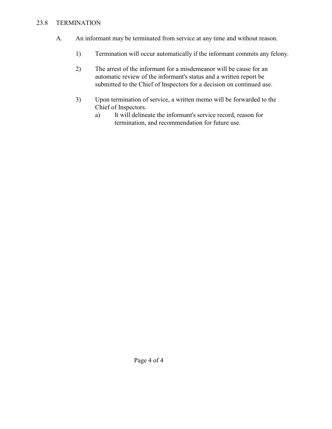### 23.8 TERMINATION

- A. An informant may be terminated from service at any time and without reason.
	- 1) Termination will occur automatically if the informant commits any felony.
	- 2) The arrest of the informant for a misdemeanor will be cause for an automatic review of the informant's status and a written report be submitted to the Chief of Inspectors for a decision on continued use.
	- 3) Upon termination of service, a written memo will be forwarded to the Chief of Inspectors.
		- a) It will delineate the informant's service record, reason for termination, and recommendation for future use.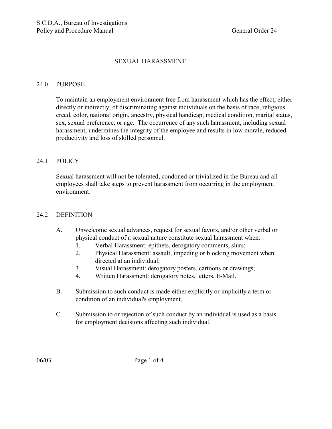### SEXUAL HARASSMENT

#### 24.0 PURPOSE

To maintain an employment environment free from harassment which has the effect, either directly or indirectly, of discriminating against individuals on the basis of race, religious creed, color, national origin, ancestry, physical handicap, medical condition, marital status, sex, sexual preference, or age. The occurrence of any such harassment, including sexual harassment, undermines the integrity of the employee and results in low morale, reduced productivity and loss of skilled personnel.

### 24.1 POLICY

Sexual harassment will not be tolerated, condoned or trivialized in the Bureau and all employees shall take steps to prevent harassment from occurring in the employment environment.

#### 24.2 DEFINITION

- A. Unwelcome sexual advances, request for sexual favors, and/or other verbal or physical conduct of a sexual nature constitute sexual harassment when:
	- 1. Verbal Harassment: epithets, derogatory comments, slurs;
	- 2. Physical Harassment: assault, impeding or blocking movement when directed at an individual;
	- 3. Visual Harassment: derogatory posters, cartoons or drawings;
	- 4. Written Harassment: derogatory notes, letters, E-Mail.
- B. Submission to such conduct is made either explicitly or implicitly a term or condition of an individual's employment.
- C. Submission to or rejection of such conduct by an individual is used as a basis for employment decisions affecting such individual.

06/03 Page 1 of 4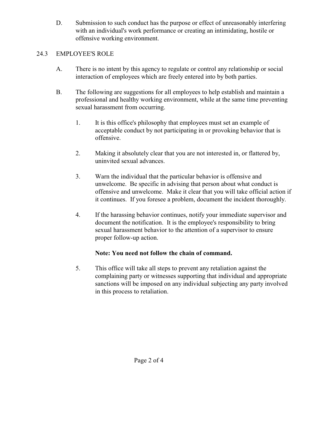D. Submission to such conduct has the purpose or effect of unreasonably interfering with an individual's work performance or creating an intimidating, hostile or offensive working environment.

# 24.3 EMPLOYEE'S ROLE

- A. There is no intent by this agency to regulate or control any relationship or social interaction of employees which are freely entered into by both parties.
- B. The following are suggestions for all employees to help establish and maintain a professional and healthy working environment, while at the same time preventing sexual harassment from occurring.
	- 1. It is this office's philosophy that employees must set an example of acceptable conduct by not participating in or provoking behavior that is offensive.
	- 2. Making it absolutely clear that you are not interested in, or flattered by, uninvited sexual advances.
	- 3. Warn the individual that the particular behavior is offensive and unwelcome. Be specific in advising that person about what conduct is offensive and unwelcome. Make it clear that you will take official action if it continues. If you foresee a problem, document the incident thoroughly.
	- 4. If the harassing behavior continues, notify your immediate supervisor and document the notification. It is the employee's responsibility to bring sexual harassment behavior to the attention of a supervisor to ensure proper follow-up action.

# **Note: You need not follow the chain of command.**

5. This office will take all steps to prevent any retaliation against the complaining party or witnesses supporting that individual and appropriate sanctions will be imposed on any individual subjecting any party involved in this process to retaliation.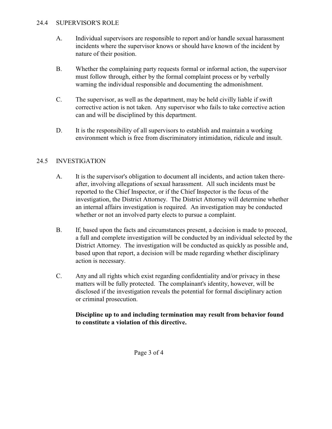### 24.4 SUPERVISOR'S ROLE

- A. Individual supervisors are responsible to report and/or handle sexual harassment incidents where the supervisor knows or should have known of the incident by nature of their position.
- B. Whether the complaining party requests formal or informal action, the supervisor must follow through, either by the formal complaint process or by verbally warning the individual responsible and documenting the admonishment.
- C. The supervisor, as well as the department, may be held civilly liable if swift corrective action is not taken. Any supervisor who fails to take corrective action can and will be disciplined by this department.
- D. It is the responsibility of all supervisors to establish and maintain a working environment which is free from discriminatory intimidation, ridicule and insult.

## 24.5 INVESTIGATION

- A. It is the supervisor's obligation to document all incidents, and action taken thereafter, involving allegations of sexual harassment. All such incidents must be reported to the Chief Inspector, or if the Chief Inspector is the focus of the investigation, the District Attorney. The District Attorney will determine whether an internal affairs investigation is required. An investigation may be conducted whether or not an involved party elects to pursue a complaint.
- B. If, based upon the facts and circumstances present, a decision is made to proceed, a full and complete investigation will be conducted by an individual selected by the District Attorney. The investigation will be conducted as quickly as possible and, based upon that report, a decision will be made regarding whether disciplinary action is necessary.
- C. Any and all rights which exist regarding confidentiality and/or privacy in these matters will be fully protected. The complainant's identity, however, will be disclosed if the investigation reveals the potential for formal disciplinary action or criminal prosecution.

## **Discipline up to and including termination may result from behavior found to constitute a violation of this directive.**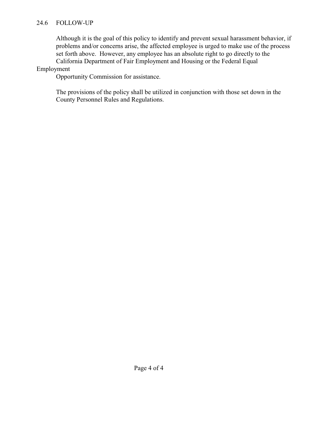## 24.6 FOLLOW-UP

Although it is the goal of this policy to identify and prevent sexual harassment behavior, if problems and/or concerns arise, the affected employee is urged to make use of the process set forth above. However, any employee has an absolute right to go directly to the California Department of Fair Employment and Housing or the Federal Equal

## Employment

Opportunity Commission for assistance.

The provisions of the policy shall be utilized in conjunction with those set down in the County Personnel Rules and Regulations.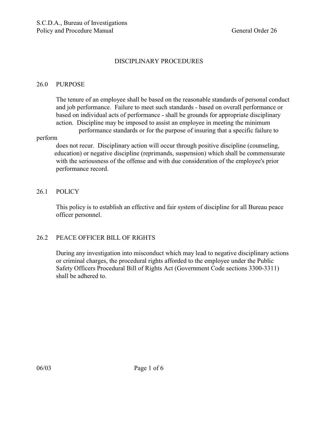# DISCIPLINARY PROCEDURES

### 26.0 PURPOSE

The tenure of an employee shall be based on the reasonable standards of personal conduct and job performance. Failure to meet such standards - based on overall performance or based on individual acts of performance - shall be grounds for appropriate disciplinary action. Discipline may be imposed to assist an employee in meeting the minimum performance standards or for the purpose of insuring that a specific failure to

#### perform

does not recur. Disciplinary action will occur through positive discipline (counseling, education) or negative discipline (reprimands, suspension) which shall be commensurate with the seriousness of the offense and with due consideration of the employee's prior performance record.

### 26.1 POLICY

This policy is to establish an effective and fair system of discipline for all Bureau peace officer personnel.

## 26.2 PEACE OFFICER BILL OF RIGHTS

During any investigation into misconduct which may lead to negative disciplinary actions or criminal charges, the procedural rights afforded to the employee under the Public Safety Officers Procedural Bill of Rights Act (Government Code sections 3300-3311) shall be adhered to.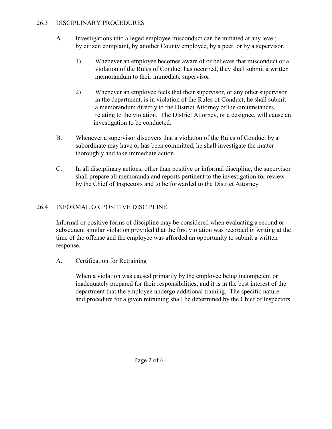#### 26.3 DISCIPLINARY PROCEDURES

- A. Investigations into alleged employee misconduct can be initiated at any level; by citizen complaint, by another County employee, by a peer, or by a supervisor.
	- 1) Whenever an employee becomes aware of or believes that misconduct or a violation of the Rules of Conduct has occurred, they shall submit a written memorandum to their immediate supervisor.
	- 2) Whenever an employee feels that their supervisor, or any other supervisor in the department, is in violation of the Rules of Conduct, he shall submit a memorandum directly to the District Attorney of the circumstances relating to the violation. The District Attorney, or a designee, will cause an investigation to be conducted.
- B. Whenever a supervisor discovers that a violation of the Rules of Conduct by a subordinate may have or has been committed, he shall investigate the matter thoroughly and take immediate action
- C. In all disciplinary actions, other than positive or informal discipline, the supervisor shall prepare all memoranda and reports pertinent to the investigation for review by the Chief of Inspectors and to be forwarded to the District Attorney.

# 26.4 INFORMAL OR POSITIVE DISCIPLINE

Informal or positive forms of discipline may be considered when evaluating a second or subsequent similar violation provided that the first violation was recorded in writing at the time of the offense and the employee was afforded an opportunity to submit a written response.

A. Certification for Retraining

When a violation was caused primarily by the employee being incompetent or inadequately prepared for their responsibilities, and it is in the best interest of the department that the employee undergo additional training. The specific nature and procedure for a given retraining shall be determined by the Chief of Inspectors.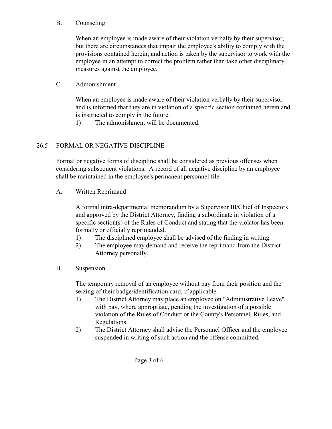#### B. Counseling

When an employee is made aware of their violation verbally by their supervisor, but there are circumstances that impair the employee's ability to comply with the provisions contained herein; and action is taken by the supervisor to work with the employee in an attempt to correct the problem rather than take other disciplinary measures against the employee.

## C. Admonishment

When an employee is made aware of their violation verbally by their supervisor and is informed that they are in violation of a specific section contained herein and is instructed to comply in the future.

1) The admonishment will be documented.

## 26.5 FORMAL OR NEGATIVE DISCIPLINE

Formal or negative forms of discipline shall be considered as previous offenses when considering subsequent violations. A record of all negative discipline by an employee shall be maintained in the employee's permanent personnel file.

A. Written Reprimand

A formal intra-departmental memorandum by a Supervisor III/Chief of Inspectors and approved by the District Attorney, finding a subordinate in violation of a specific section(s) of the Rules of Conduct and stating that the violator has been formally or officially reprimanded.

- 1) The disciplined employee shall be advised of the finding in writing.
- 2) The employee may demand and receive the reprimand from the District Attorney personally.
- B. Suspension

The temporary removal of an employee without pay from their position and the seizing of their badge/identification card, if applicable.

- 1) The District Attorney may place an employee on "Administrative Leave" with pay, where appropriate, pending the investigation of a possible violation of the Rules of Conduct or the County's Personnel, Rules, and Regulations.
- 2) The District Attorney shall advise the Personnel Officer and the employee suspended in writing of such action and the offense committed.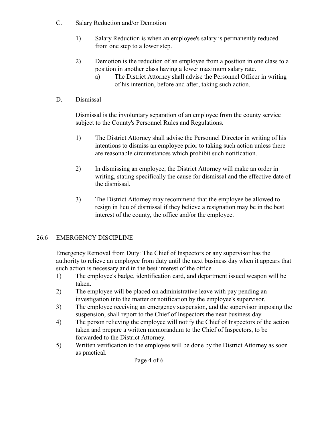- C. Salary Reduction and/or Demotion
	- 1) Salary Reduction is when an employee's salary is permanently reduced from one step to a lower step.
	- 2) Demotion is the reduction of an employee from a position in one class to a position in another class having a lower maximum salary rate.
		- a) The District Attorney shall advise the Personnel Officer in writing of his intention, before and after, taking such action.
- D. Dismissal

Dismissal is the involuntary separation of an employee from the county service subject to the County's Personnel Rules and Regulations.

- 1) The District Attorney shall advise the Personnel Director in writing of his intentions to dismiss an employee prior to taking such action unless there are reasonable circumstances which prohibit such notification.
- 2) In dismissing an employee, the District Attorney will make an order in writing, stating specifically the cause for dismissal and the effective date of the dismissal.
- 3) The District Attorney may recommend that the employee be allowed to resign in lieu of dismissal if they believe a resignation may be in the best interest of the county, the office and/or the employee.

## 26.6 EMERGENCY DISCIPLINE

Emergency Removal from Duty: The Chief of Inspectors or any supervisor has the authority to relieve an employee from duty until the next business day when it appears that such action is necessary and in the best interest of the office.

- 1) The employee's badge, identification card, and department issued weapon will be taken.
- 2) The employee will be placed on administrative leave with pay pending an investigation into the matter or notification by the employee's supervisor.
- 3) The employee receiving an emergency suspension, and the supervisor imposing the suspension, shall report to the Chief of Inspectors the next business day.
- 4) The person relieving the employee will notify the Chief of Inspectors of the action taken and prepare a written memorandum to the Chief of Inspectors, to be forwarded to the District Attorney.
- 5) Written verification to the employee will be done by the District Attorney as soon as practical.

Page 4 of 6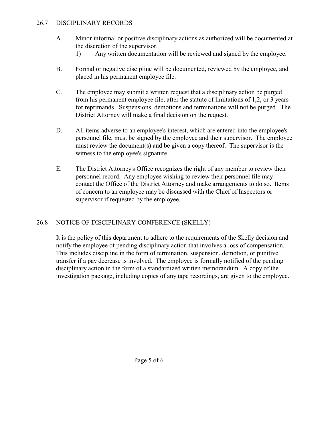#### 26.7 DISCIPLINARY RECORDS

- A. Minor informal or positive disciplinary actions as authorized will be documented at the discretion of the supervisor.
	- 1) Any written documentation will be reviewed and signed by the employee.
- B. Formal or negative discipline will be documented, reviewed by the employee, and placed in his permanent employee file.
- C. The employee may submit a written request that a disciplinary action be purged from his permanent employee file, after the statute of limitations of 1,2, or 3 years for reprimands. Suspensions, demotions and terminations will not be purged. The District Attorney will make a final decision on the request.
- D. All items adverse to an employee's interest, which are entered into the employee's personnel file, must be signed by the employee and their supervisor. The employee must review the document(s) and be given a copy thereof. The supervisor is the witness to the employee's signature.
- E. The District Attorney's Office recognizes the right of any member to review their personnel record. Any employee wishing to review their personnel file may contact the Office of the District Attorney and make arrangements to do so. Items of concern to an employee may be discussed with the Chief of Inspectors or supervisor if requested by the employee.

#### 26.8 NOTICE OF DISCIPLINARY CONFERENCE (SKELLY)

It is the policy of this department to adhere to the requirements of the Skelly decision and notify the employee of pending disciplinary action that involves a loss of compensation. This includes discipline in the form of termination, suspension, demotion, or punitive transfer if a pay decrease is involved. The employee is formally notified of the pending disciplinary action in the form of a standardized written memorandum. A copy of the investigation package, including copies of any tape recordings, are given to the employee.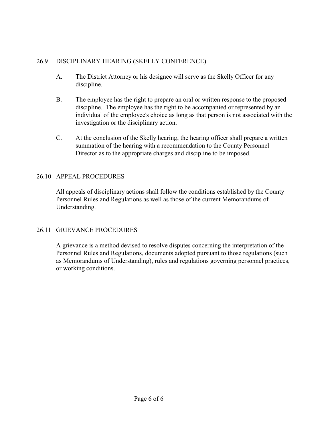### 26.9 DISCIPLINARY HEARING (SKELLY CONFERENCE)

- A. The District Attorney or his designee will serve as the Skelly Officer for any discipline.
- B. The employee has the right to prepare an oral or written response to the proposed discipline. The employee has the right to be accompanied or represented by an individual of the employee's choice as long as that person is not associated with the investigation or the disciplinary action.
- C. At the conclusion of the Skelly hearing, the hearing officer shall prepare a written summation of the hearing with a recommendation to the County Personnel Director as to the appropriate charges and discipline to be imposed.

### 26.10 APPEAL PROCEDURES

All appeals of disciplinary actions shall follow the conditions established by the County Personnel Rules and Regulations as well as those of the current Memorandums of Understanding.

#### 26.11 GRIEVANCE PROCEDURES

A grievance is a method devised to resolve disputes concerning the interpretation of the Personnel Rules and Regulations, documents adopted pursuant to those regulations (such as Memorandums of Understanding), rules and regulations governing personnel practices, or working conditions.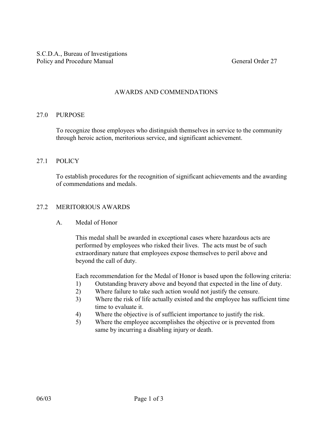#### AWARDS AND COMMENDATIONS

#### 27.0 PURPOSE

To recognize those employees who distinguish themselves in service to the community through heroic action, meritorious service, and significant achievement.

### 27.1 POLICY

To establish procedures for the recognition of significant achievements and the awarding of commendations and medals.

## 27.2 MERITORIOUS AWARDS

#### A. Medal of Honor

This medal shall be awarded in exceptional cases where hazardous acts are performed by employees who risked their lives. The acts must be of such extraordinary nature that employees expose themselves to peril above and beyond the call of duty.

Each recommendation for the Medal of Honor is based upon the following criteria:

- 1) Outstanding bravery above and beyond that expected in the line of duty.
- 2) Where failure to take such action would not justify the censure.
- 3) Where the risk of life actually existed and the employee has sufficient time time to evaluate it.
- 4) Where the objective is of sufficient importance to justify the risk.
- 5) Where the employee accomplishes the objective or is prevented from same by incurring a disabling injury or death.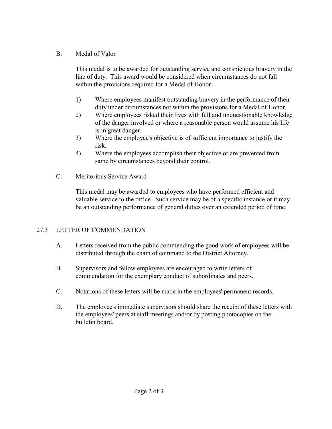## B. Medal of Valor

This medal is to be awarded for outstanding service and conspicuous bravery in the line of duty. This award would be considered when circumstances do not fall within the provisions required for a Medal of Honor.

- 1) Where employees manifest outstanding bravery in the performance of their duty under circumstances not within the provisions for a Medal of Honor.
- 2) Where employees risked their lives with full and unquestionable knowledge of the danger involved or where a reasonable person would assume his life is in great danger.
- 3) Where the employee's objective is of sufficient importance to justify the risk.
- 4) Where the employees accomplish their objective or are prevented from same by circumstances beyond their control.
- C. Meritorious Service Award

This medal may be awarded to employees who have performed efficient and valuable service to the office. Such service may be of a specific instance or it may be an outstanding performance of general duties over an extended period of time.

## 27.3 LETTER OF COMMENDATION

- A. Letters received from the public commending the good work of employees will be distributed through the chain of command to the District Attorney.
- B. Supervisors and fellow employees are encouraged to write letters of commendation for the exemplary conduct of subordinates and peers.
- C. Notations of these letters will be made in the employees' permanent records.
- D. The employee's immediate supervisors should share the receipt of these letters with the employees' peers at staff meetings and/or by posting photocopies on the bulletin board.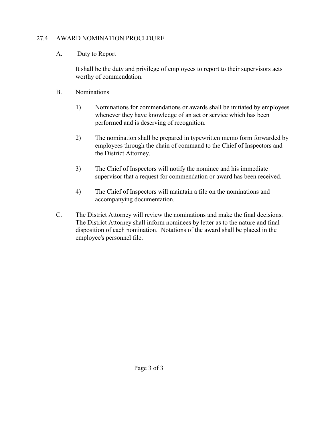### 27.4 AWARD NOMINATION PROCEDURE

### A. Duty to Report

It shall be the duty and privilege of employees to report to their supervisors acts worthy of commendation.

- B. Nominations
	- 1) Nominations for commendations or awards shall be initiated by employees whenever they have knowledge of an act or service which has been performed and is deserving of recognition.
	- 2) The nomination shall be prepared in typewritten memo form forwarded by employees through the chain of command to the Chief of Inspectors and the District Attorney.
	- 3) The Chief of Inspectors will notify the nominee and his immediate supervisor that a request for commendation or award has been received.
	- 4) The Chief of Inspectors will maintain a file on the nominations and accompanying documentation.
- C. The District Attorney will review the nominations and make the final decisions. The District Attorney shall inform nominees by letter as to the nature and final disposition of each nomination. Notations of the award shall be placed in the employee's personnel file.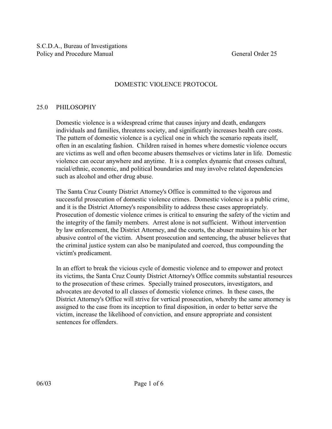## DOMESTIC VIOLENCE PROTOCOL

#### 25.0 PHILOSOPHY

Domestic violence is a widespread crime that causes injury and death, endangers individuals and families, threatens society, and significantly increases health care costs. The pattern of domestic violence is a cyclical one in which the scenario repeats itself, often in an escalating fashion. Children raised in homes where domestic violence occurs are victims as well and often become abusers themselves or victims later in life. Domestic violence can occur anywhere and anytime. It is a complex dynamic that crosses cultural, racial/ethnic, economic, and political boundaries and may involve related dependencies such as alcohol and other drug abuse.

The Santa Cruz County District Attorney's Office is committed to the vigorous and successful prosecution of domestic violence crimes. Domestic violence is a public crime, and it is the District Attorney's responsibility to address these cases appropriately. Prosecution of domestic violence crimes is critical to ensuring the safety of the victim and the integrity of the family members. Arrest alone is not sufficient. Without intervention by law enforcement, the District Attorney, and the courts, the abuser maintains his or her abusive control of the victim. Absent prosecution and sentencing, the abuser believes that the criminal justice system can also be manipulated and coerced, thus compounding the victim's predicament.

In an effort to break the vicious cycle of domestic violence and to empower and protect its victims, the Santa Cruz County District Attorney's Office commits substantial resources to the prosecution of these crimes. Specially trained prosecutors, investigators, and advocates are devoted to all classes of domestic violence crimes. In these cases, the District Attorney's Office will strive for vertical prosecution, whereby the same attorney is assigned to the case from its inception to final disposition, in order to better serve the victim, increase the likelihood of conviction, and ensure appropriate and consistent sentences for offenders.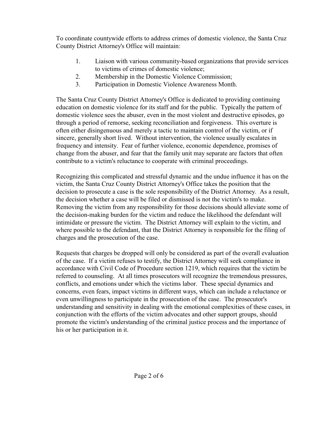To coordinate countywide efforts to address crimes of domestic violence, the Santa Cruz County District Attorney's Office will maintain:

- 1. Liaison with various community-based organizations that provide services to victims of crimes of domestic violence;
- 2. Membership in the Domestic Violence Commission;
- 3. Participation in Domestic Violence Awareness Month.

The Santa Cruz County District Attorney's Office is dedicated to providing continuing education on domestic violence for its staff and for the public. Typically the pattern of domestic violence sees the abuser, even in the most violent and destructive episodes, go through a period of remorse, seeking reconciliation and forgiveness. This overture is often either disingenuous and merely a tactic to maintain control of the victim, or if sincere, generally short lived. Without intervention, the violence usually escalates in frequency and intensity. Fear of further violence, economic dependence, promises of change from the abuser, and fear that the family unit may separate are factors that often contribute to a victim's reluctance to cooperate with criminal proceedings.

Recognizing this complicated and stressful dynamic and the undue influence it has on the victim, the Santa Cruz County District Attorney's Office takes the position that the decision to prosecute a case is the sole responsibility of the District Attorney. As a result, the decision whether a case will be filed or dismissed is not the victim's to make. Removing the victim from any responsibility for those decisions should alleviate some of the decision-making burden for the victim and reduce the likelihood the defendant will intimidate or pressure the victim. The District Attorney will explain to the victim, and where possible to the defendant, that the District Attorney is responsible for the filing of charges and the prosecution of the case.

Requests that charges be dropped will only be considered as part of the overall evaluation of the case. If a victim refuses to testify, the District Attorney will seek compliance in accordance with Civil Code of Procedure section 1219, which requires that the victim be referred to counseling. At all times prosecutors will recognize the tremendous pressures, conflicts, and emotions under which the victims labor. These special dynamics and concerns, even fears, impact victims in different ways, which can include a reluctance or even unwillingness to participate in the prosecution of the case. The prosecutor's understanding and sensitivity in dealing with the emotional complexities of these cases, in conjunction with the efforts of the victim advocates and other support groups, should promote the victim's understanding of the criminal justice process and the importance of his or her participation in it.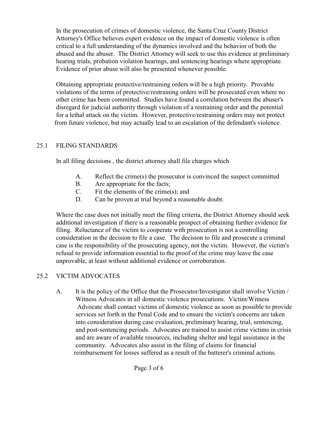In the prosecution of crimes of domestic violence, the Santa Cruz County District Attorney's Office believes expert evidence on the impact of domestic violence is often critical to a full understanding of the dynamics involved and the behavior of both the abused and the abuser. The District Attorney will seek to use this evidence at preliminary hearing trials, probation violation hearings, and sentencing hearings where appropriate. Evidence of prior abuse will also be presented whenever possible.

Obtaining appropriate protective/restraining orders will be a high priority. Provable violations of the terms of protective/restraining orders will be prosecuted even where no other crime has been committed. Studies have found a correlation between the abuser's disregard for judicial authority through violation of a restraining order and the potential for a lethal attack on the victim. However, protective/restraining orders may not protect from future violence, but may actually lead to an escalation of the defendant's violence.

## 25.1 FILING STANDARDS

In all filing decisions , the district attorney shall file charges which

- A. Reflect the crime(s) the prosecutor is convinced the suspect committed
- B. Are appropriate for the facts;
- C. Fit the elements of the crime(s); and
- D. Can be proven at trial beyond a reasonable doubt.

Where the case does not initially meet the filing criteria, the District Attorney should seek additional investigation if there is a reasonable prospect of obtaining further evidence for filing. Reluctance of the victim to cooperate with prosecution is not a controlling consideration in the decision to file a case. The decision to file and prosecute a criminal case is the responsibility of the prosecuting agency, not the victim. However, the victim's refusal to provide information essential to the proof of the crime may leave the case unprovable, at least without additional evidence or corroboration.

#### 25.2 VICTIM ADVOCATES

 A. It is the policy of the Office that the Prosecutor/Investigator shall involve Victim / Witness Advocates in all domestic violence prosecutions. Victim/Witness Advocate shall contact victims of domestic violence as soon as possible to provide services set forth in the Penal Code and to ensure the victim's concerns are taken into consideration during case evaluation, preliminary hearing, trial, sentencing, and post-sentencing periods. Advocates are trained to assist crime victims in crisis and are aware of available resources, including shelter and legal assistance in the community. Advocates also assist in the filing of claims for financial reimbursement for losses suffered as a result of the batterer's criminal actions.

Page 3 of 6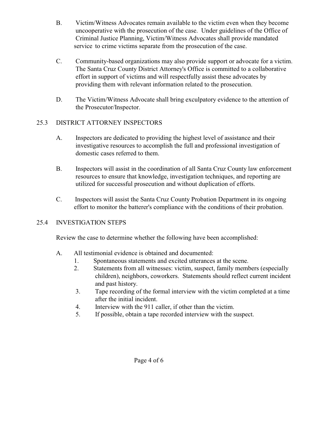- B. Victim/Witness Advocates remain available to the victim even when they become uncooperative with the prosecution of the case. Under guidelines of the Office of Criminal Justice Planning, Victim/Witness Advocates shall provide mandated service to crime victims separate from the prosecution of the case.
- C. Community-based organizations may also provide support or advocate for a victim. The Santa Cruz County District Attorney's Office is committed to a collaborative effort in support of victims and will respectfully assist these advocates by providing them with relevant information related to the prosecution.
- D. The Victim/Witness Advocate shall bring exculpatory evidence to the attention of the Prosecutor/Inspector.

## 25.3 DISTRICT ATTORNEY INSPECTORS

- A. Inspectors are dedicated to providing the highest level of assistance and their investigative resources to accomplish the full and professional investigation of domestic cases referred to them.
- B. Inspectors will assist in the coordination of all Santa Cruz County law enforcement resources to ensure that knowledge, investigation techniques, and reporting are utilized for successful prosecution and without duplication of efforts.
- C. Inspectors will assist the Santa Cruz County Probation Department in its ongoing effort to monitor the batterer's compliance with the conditions of their probation.

#### 25.4 INVESTIGATION STEPS

Review the case to determine whether the following have been accomplished:

- A. All testimonial evidence is obtained and documented:
	- 1. Spontaneous statements and excited utterances at the scene.
	- 2. Statements from all witnesses: victim, suspect, family members (especially children), neighbors, coworkers. Statements should reflect current incident and past history.
	- 3. Tape recording of the formal interview with the victim completed at a time after the initial incident.
	- 4. Interview with the 911 caller, if other than the victim.
	- 5. If possible, obtain a tape recorded interview with the suspect.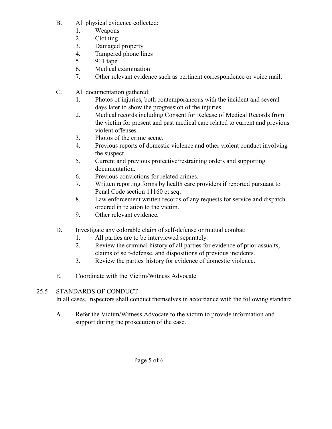- B. All physical evidence collected:
	- 1. Weapons
	- 2. Clothing
	- 3. Damaged property
	- 4. Tampered phone lines
	- 5. 911 tape
	- 6. Medical examination
	- 7. Other relevant evidence such as pertinent correspondence or voice mail.
- C. All documentation gathered:
	- 1. Photos of injuries, both contemporaneous with the incident and several days later to show the progression of the injuries.
	- 2. Medical records including Consent for Release of Medical Records from the victim for present and past medical care related to current and previous violent offenses.
	- 3. Photos of the crime scene.
	- 4. Previous reports of domestic violence and other violent conduct involving the suspect.
	- 5. Current and previous protective/restraining orders and supporting documentation.
	- 6. Previous convictions for related crimes.
	- 7. Written reporting forms by health care providers if reported pursuant to Penal Code section 11160 et seq.
	- 8. Law enforcement written records of any requests for service and dispatch ordered in relation to the victim.
	- 9. Other relevant evidence.
- D. Investigate any colorable claim of self-defense or mutual combat:
	- 1. All parties are to be interviewed separately.
	- 2. Review the criminal history of all parties for evidence of prior assualts, claims of self-defense, and dispositions of previous incidents.
	- 3. Review the parties' history for evidence of domestic violence.
- E. Coordinate with the Victim/Witness Advocate.

## 25.5 STANDARDS OF CONDUCT

In all cases, Inspectors shall conduct themselves in accordance with the following standard

A. Refer the Victim/Witness Advocate to the victim to provide information and support during the prosecution of the case.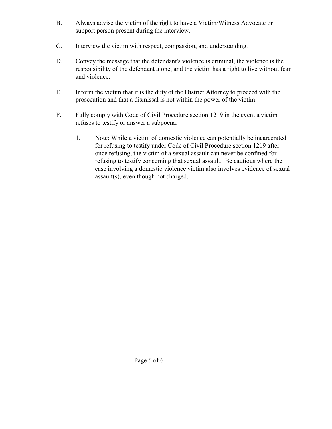- B. Always advise the victim of the right to have a Victim/Witness Advocate or support person present during the interview.
- C. Interview the victim with respect, compassion, and understanding.
- D. Convey the message that the defendant's violence is criminal, the violence is the responsibility of the defendant alone, and the victim has a right to live without fear and violence.
- E. Inform the victim that it is the duty of the District Attorney to proceed with the prosecution and that a dismissal is not within the power of the victim.
- F. Fully comply with Code of Civil Procedure section 1219 in the event a victim refuses to testify or answer a subpoena.
	- 1. Note: While a victim of domestic violence can potentially be incarcerated for refusing to testify under Code of Civil Procedure section 1219 after once refusing, the victim of a sexual assault can never be confined for refusing to testify concerning that sexual assault. Be cautious where the case involving a domestic violence victim also involves evidence of sexual assault(s), even though not charged.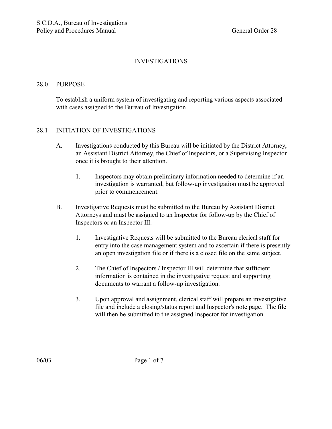## INVESTIGATIONS

#### 28.0 PURPOSE

To establish a uniform system of investigating and reporting various aspects associated with cases assigned to the Bureau of Investigation.

#### 28.1 INITIATION OF INVESTIGATIONS

- A. Investigations conducted by this Bureau will be initiated by the District Attorney, an Assistant District Attorney, the Chief of Inspectors, or a Supervising Inspector once it is brought to their attention.
	- 1. Inspectors may obtain preliminary information needed to determine if an investigation is warranted, but follow-up investigation must be approved prior to commencement.
- B. Investigative Requests must be submitted to the Bureau by Assistant District Attorneys and must be assigned to an Inspector for follow-up by the Chief of Inspectors or an Inspector III.
	- 1. Investigative Requests will be submitted to the Bureau clerical staff for entry into the case management system and to ascertain if there is presently an open investigation file or if there is a closed file on the same subject.
	- 2. The Chief of Inspectors / Inspector III will determine that sufficient information is contained in the investigative request and supporting documents to warrant a follow-up investigation.
	- 3. Upon approval and assignment, clerical staff will prepare an investigative file and include a closing/status report and Inspector's note page. The file will then be submitted to the assigned Inspector for investigation.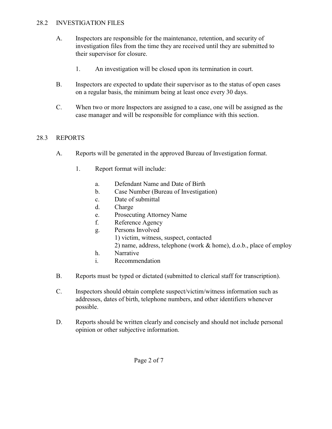#### 28.2 INVESTIGATION FILES

- A. Inspectors are responsible for the maintenance, retention, and security of investigation files from the time they are received until they are submitted to their supervisor for closure.
	- 1. An investigation will be closed upon its termination in court.
- B. Inspectors are expected to update their supervisor as to the status of open cases on a regular basis, the minimum being at least once every 30 days.
- C. When two or more Inspectors are assigned to a case, one will be assigned as the case manager and will be responsible for compliance with this section.

#### 28.3 REPORTS

- A. Reports will be generated in the approved Bureau of Investigation format.
	- 1. Report format will include:
		- a. Defendant Name and Date of Birth
		- b. Case Number (Bureau of Investigation)
		- c. Date of submittal
		- d. Charge
		- e. Prosecuting Attorney Name
		- f. Reference Agency
		- g. Persons Involved
			- 1) victim, witness, suspect, contacted
				- 2) name, address, telephone (work & home), d.o.b., place of employ
		- h. Narrative
		- i. Recommendation
- B. Reports must be typed or dictated (submitted to clerical staff for transcription).
- C. Inspectors should obtain complete suspect/victim/witness information such as addresses, dates of birth, telephone numbers, and other identifiers whenever possible.
- D. Reports should be written clearly and concisely and should not include personal opinion or other subjective information.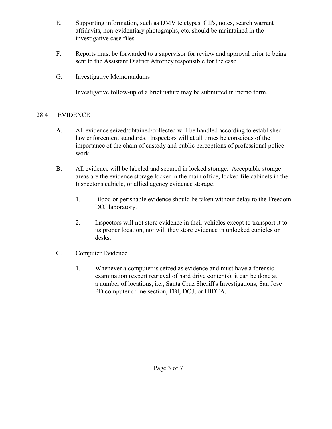- E. Supporting information, such as DMV teletypes, CII's, notes, search warrant affidavits, non-evidentiary photographs, etc. should be maintained in the investigative case files.
- F. Reports must be forwarded to a supervisor for review and approval prior to being sent to the Assistant District Attorney responsible for the case.
- G. Investigative Memorandums

Investigative follow-up of a brief nature may be submitted in memo form.

## 28.4 EVIDENCE

- A. All evidence seized/obtained/collected will be handled according to established law enforcement standards. Inspectors will at all times be conscious of the importance of the chain of custody and public perceptions of professional police work.
- B. All evidence will be labeled and secured in locked storage. Acceptable storage areas are the evidence storage locker in the main office, locked file cabinets in the Inspector's cubicle, or allied agency evidence storage.
	- 1. Blood or perishable evidence should be taken without delay to the Freedom DOJ laboratory.
	- 2. Inspectors will not store evidence in their vehicles except to transport it to its proper location, nor will they store evidence in unlocked cubicles or desks.
- C. Computer Evidence
	- 1. Whenever a computer is seized as evidence and must have a forensic examination (expert retrieval of hard drive contents), it can be done at a number of locations, i.e., Santa Cruz Sheriff's Investigations, San Jose PD computer crime section, FBI, DOJ, or HIDTA.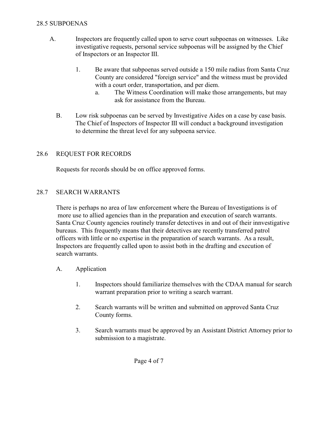#### 28.5 SUBPOENAS

- A. Inspectors are frequently called upon to serve court subpoenas on witnesses. Like investigative requests, personal service subpoenas will be assigned by the Chief of Inspectors or an Inspector III.
	- 1. Be aware that subpoenas served outside a 150 mile radius from Santa Cruz County are considered "foreign service" and the witness must be provided with a court order, transportation, and per diem.
		- a. The Witness Coordination will make those arrangements, but may ask for assistance from the Bureau.
	- B. Low risk subpoenas can be served by Investigative Aides on a case by case basis. The Chief of Inspectors of Inspector III will conduct a background investigation to determine the threat level for any subpoena service.

### 28.6 REQUEST FOR RECORDS

Requests for records should be on office approved forms.

#### 28.7 SEARCH WARRANTS

There is perhaps no area of law enforcement where the Bureau of Investigations is of more use to allied agencies than in the preparation and execution of search warrants. Santa Cruz County agencies routinely transfer detectives in and out of their innvestigative bureaus. This frequently means that their detectives are recently transferred patrol officers with little or no expertise in the preparation of search warrants. As a result, Inspectors are frequently called upon to assist both in the drafting and execution of search warrants.

- A. Application
	- 1. Inspectors should familiarize themselves with the CDAA manual for search warrant preparation prior to writing a search warrant.
	- 2. Search warrants will be written and submitted on approved Santa Cruz County forms.
	- 3. Search warrants must be approved by an Assistant District Attorney prior to submission to a magistrate.

Page 4 of 7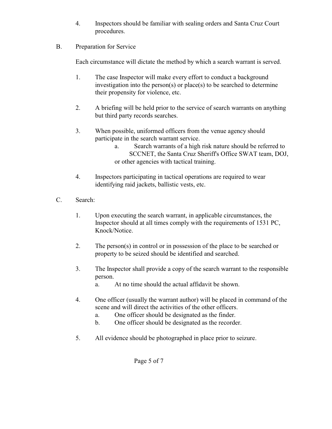- 4. Inspectors should be familiar with sealing orders and Santa Cruz Court procedures.
- B. Preparation for Service

Each circumstance will dictate the method by which a search warrant is served.

- 1. The case Inspector will make every effort to conduct a background investigation into the person(s) or place(s) to be searched to determine their propensity for violence, etc.
- 2. A briefing will be held prior to the service of search warrants on anything but third party records searches.
- 3. When possible, uniformed officers from the venue agency should participate in the search warrant service.
	- a. Search warrants of a high risk nature should be referred to SCCNET, the Santa Cruz Sheriff's Office SWAT team, DOJ, or other agencies with tactical training.
- 4. Inspectors participating in tactical operations are required to wear identifying raid jackets, ballistic vests, etc.
- C. Search:
	- 1. Upon executing the search warrant, in applicable circumstances, the Inspector should at all times comply with the requirements of 1531 PC, Knock/Notice.
	- 2. The person(s) in control or in possession of the place to be searched or property to be seized should be identified and searched.
	- 3. The Inspector shall provide a copy of the search warrant to the responsible person.
		- a. At no time should the actual affidavit be shown.
	- 4. One officer (usually the warrant author) will be placed in command of the scene and will direct the activities of the other officers.
		- a. One officer should be designated as the finder.
		- b. One officer should be designated as the recorder.
	- 5. All evidence should be photographed in place prior to seizure.

Page 5 of 7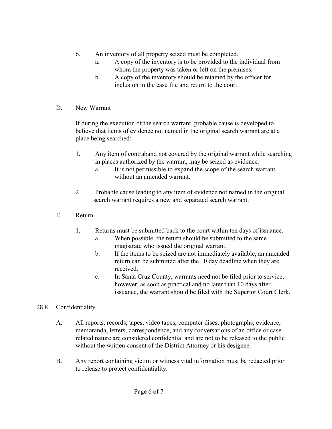- 6. An inventory of all property seized must be completed.
	- a. A copy of the inventory is to be provided to the individual from whom the property was taken or left on the premises.
	- b. A copy of the inventory should be retained by the officer for inclusion in the case file and return to the court.
- D. New Warrant

If during the execution of the search warrant, probable cause is developed to believe that items of evidence not named in the original search warrant are at a place being searched:

- 1. Any item of contraband not covered by the original warrant while searching in places authorized by the warrant, may be seized as evidence.
	- a. It is not permissible to expand the scope of the search warrant without an amended warrant.
- 2. Probable cause leading to any item of evidence not named in the original search warrant requires a new and separated search warrant.
- E. Return
	- 1. Returns must be submitted back to the court within ten days of issuance.
		- a. When possible, the return should be submitted to the same magistrate who issued the original warrant.
		- b. If the items to be seized are not immediately available, an amended return can be submitted after the 10 day deadline when they are received.
		- c. In Santa Cruz County, warrants need not be filed prior to service, however, as soon as practical and no later than 10 days after issuance, the warrant should be filed with the Superior Court Clerk.
- 28.8 Confidentiality
	- A. All reports, records, tapes, video tapes, computer discs, photographs, evidence, memoranda, letters, correspondence, and any conversations of an office or case related nature are considered confidential and are not to be released to the public without the written consent of the District Attorney or his designee.
	- B. Any report containing victim or witness vital information must be redacted prior to release to protect confidentiality.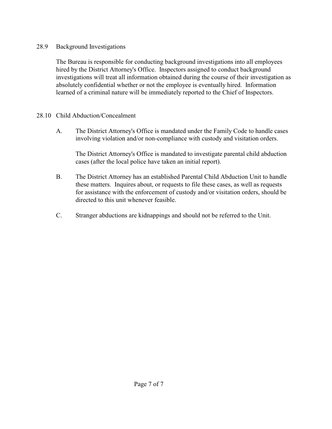## 28.9 Background Investigations

The Bureau is responsible for conducting background investigations into all employees hired by the District Attorney's Office. Inspectors assigned to conduct background investigations will treat all information obtained during the course of their investigation as absolutely confidential whether or not the employee is eventually hired. Information learned of a criminal nature will be immediately reported to the Chief of Inspectors.

### 28.10 Child Abduction/Concealment

A. The District Attorney's Office is mandated under the Family Code to handle cases involving violation and/or non-compliance with custody and visitation orders.

The District Attorney's Office is mandated to investigate parental child abduction cases (after the local police have taken an initial report).

- B. The District Attorney has an established Parental Child Abduction Unit to handle these matters. Inquires about, or requests to file these cases, as well as requests for assistance with the enforcement of custody and/or visitation orders, should be directed to this unit whenever feasible.
- C. Stranger abductions are kidnappings and should not be referred to the Unit.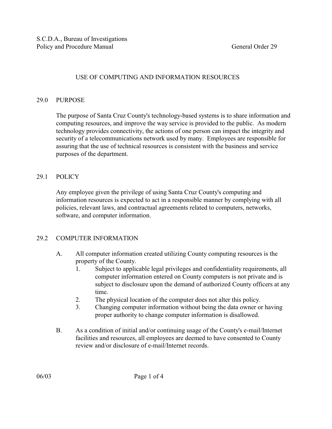## USE OF COMPUTING AND INFORMATION RESOURCES

#### 29.0 PURPOSE

The purpose of Santa Cruz County's technology-based systems is to share information and computing resources, and improve the way service is provided to the public. As modern technology provides connectivity, the actions of one person can impact the integrity and security of a telecommunications network used by many. Employees are responsible for assuring that the use of technical resources is consistent with the business and service purposes of the department.

#### 29.1 POLICY

Any employee given the privilege of using Santa Cruz County's computing and information resources is expected to act in a responsible manner by complying with all policies, relevant laws, and contractual agreements related to computers, networks, software, and computer information.

#### 29.2 COMPUTER INFORMATION

- A. All computer information created utilizing County computing resources is the property of the County.
	- 1. Subject to applicable legal privileges and confidentiality requirements, all computer information entered on County computers is not private and is subject to disclosure upon the demand of authorized County officers at any time.
	- 2. The physical location of the computer does not alter this policy.
	- 3. Changing computer information without being the data owner or having proper authority to change computer information is disallowed.
- B. As a condition of initial and/or continuing usage of the County's e-mail/Internet facilities and resources, all employees are deemed to have consented to County review and/or disclosure of e-mail/Internet records.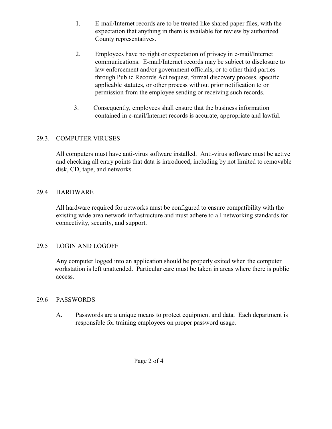- 1. E-mail/Internet records are to be treated like shared paper files, with the expectation that anything in them is available for review by authorized County representatives.
- 2. Employees have no right or expectation of privacy in e-mail/Internet communications. E-mail/Internet records may be subject to disclosure to law enforcement and/or government officials, or to other third parties through Public Records Act request, formal discovery process, specific applicable statutes, or other process without prior notification to or permission from the employee sending or receiving such records.
- 3. Consequently, employees shall ensure that the business information contained in e-mail/Internet records is accurate, appropriate and lawful.

### 29.3. COMPUTER VIRUSES

All computers must have anti-virus software installed. Anti-virus software must be active and checking all entry points that data is introduced, including by not limited to removable disk, CD, tape, and networks.

#### 29.4 HARDWARE

All hardware required for networks must be configured to ensure compatibility with the existing wide area network infrastructure and must adhere to all networking standards for connectivity, security, and support.

## 29.5 LOGIN AND LOGOFF

Any computer logged into an application should be properly exited when the computer workstation is left unattended. Particular care must be taken in areas where there is public access.

#### 29.6 PASSWORDS

A. Passwords are a unique means to protect equipment and data. Each department is responsible for training employees on proper password usage.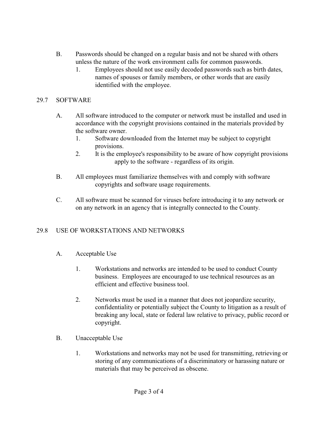- B. Passwords should be changed on a regular basis and not be shared with others unless the nature of the work environment calls for common passwords.
	- 1. Employees should not use easily decoded passwords such as birth dates, names of spouses or family members, or other words that are easily identified with the employee.

## 29.7 SOFTWARE

- A. All software introduced to the computer or network must be installed and used in accordance with the copyright provisions contained in the materials provided by the software owner.
	- 1. Software downloaded from the Internet may be subject to copyright provisions.
	- 2. It is the employee's responsibility to be aware of how copyright provisions apply to the software - regardless of its origin.
- B. All employees must familiarize themselves with and comply with software copyrights and software usage requirements.
- C. All software must be scanned for viruses before introducing it to any network or on any network in an agency that is integrally connected to the County.

## 29.8 USE OF WORKSTATIONS AND NETWORKS

- A. Acceptable Use
	- 1. Workstations and networks are intended to be used to conduct County business. Employees are encouraged to use technical resources as an efficient and effective business tool.
	- 2. Networks must be used in a manner that does not jeopardize security, confidentiality or potentially subject the County to litigation as a result of breaking any local, state or federal law relative to privacy, public record or copyright.
- B. Unacceptable Use
	- 1. Workstations and networks may not be used for transmitting, retrieving or storing of any communications of a discriminatory or harassing nature or materials that may be perceived as obscene.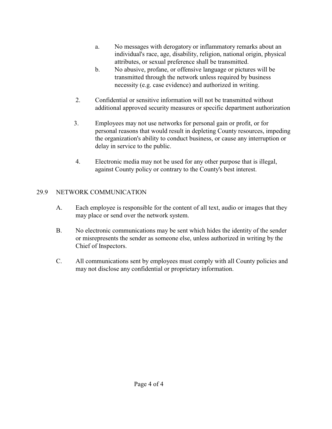- a. No messages with derogatory or inflammatory remarks about an individual's race, age, disability, religion, national origin, physical attributes, or sexual preference shall be transmitted.
- b. No abusive, profane, or offensive language or pictures will be transmitted through the network unless required by business necessity (e.g. case evidence) and authorized in writing.
- 2. Confidential or sensitive information will not be transmitted without additional approved security measures or specific department authorization
- 3. Employees may not use networks for personal gain or profit, or for personal reasons that would result in depleting County resources, impeding the organization's ability to conduct business, or cause any interruption or delay in service to the public.
- 4. Electronic media may not be used for any other purpose that is illegal, against County policy or contrary to the County's best interest.

# 29.9 NETWORK COMMUNICATION

- A. Each employee is responsible for the content of all text, audio or images that they may place or send over the network system.
- B. No electronic communications may be sent which hides the identity of the sender or misrepresents the sender as someone else, unless authorized in writing by the Chief of Inspectors.
- C. All communications sent by employees must comply with all County policies and may not disclose any confidential or proprietary information.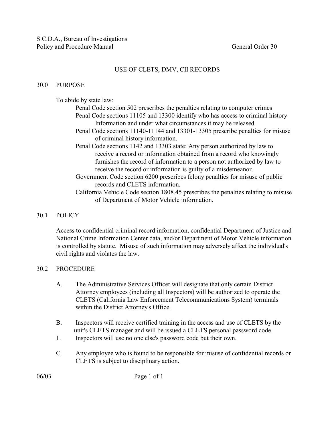### USE OF CLETS, DMV, CII RECORDS

#### 30.0 PURPOSE

To abide by state law:

- Penal Code section 502 prescribes the penalties relating to computer crimes Penal Code sections 11105 and 13300 identify who has access to criminal history
	- Information and under what circumstances it may be released.
- Penal Code sections 11140-11144 and 13301-13305 prescribe penalties for misuse of criminal history information.
- Penal Code sections 1142 and 13303 state: Any person authorized by law to receive a record or information obtained from a record who knowingly furnishes the record of information to a person not authorized by law to receive the record or information is guilty of a misdemeanor.
- Government Code section 6200 prescribes felony penalties for misuse of public records and CLETS information.
- California Vehicle Code section 1808.45 prescribes the penalties relating to misuse of Department of Motor Vehicle information.

#### 30.1 POLICY

Access to confidential criminal record information, confidential Department of Justice and National Crime Information Center data, and/or Department of Motor Vehicle information is controlled by statute. Misuse of such information may adversely affect the individual's civil rights and violates the law.

#### 30.2 PROCEDURE

- A. The Administrative Services Officer will designate that only certain District Attorney employees (including all Inspectors) will be authorized to operate the CLETS (California Law Enforcement Telecommunications System) terminals within the District Attorney's Office.
- B. Inspectors will receive certified training in the access and use of CLETS by the unit's CLETS manager and will be issued a CLETS personal password code.
- 1. Inspectors will use no one else's password code but their own.
- C. Any employee who is found to be responsible for misuse of confidential records or CLETS is subject to disciplinary action.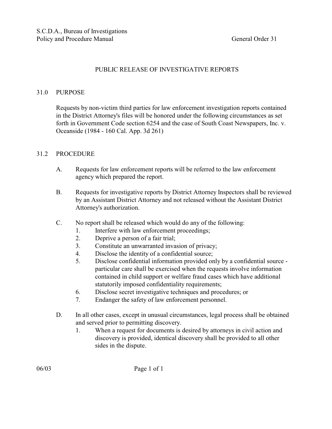### PUBLIC RELEASE OF INVESTIGATIVE REPORTS

#### 31.0 PURPOSE

Requests by non-victim third parties for law enforcement investigation reports contained in the District Attorney's files will be honored under the following circumstances as set forth in Government Code section 6254 and the case of South Coast Newspapers, Inc. v. Oceanside (1984 - 160 Cal. App. 3d 261)

#### 31.2 PROCEDURE

- A. Requests for law enforcement reports will be referred to the law enforcement agency which prepared the report.
- B. Requests for investigative reports by District Attorney Inspectors shall be reviewed by an Assistant District Attorney and not released without the Assistant District Attorney's authorization.
- C. No report shall be released which would do any of the following:
	- 1. Interfere with law enforcement proceedings;
	- 2. Deprive a person of a fair trial;
	- 3. Constitute an unwarranted invasion of privacy;
	- 4. Disclose the identity of a confidential source;
	- 5. Disclose confidential information provided only by a confidential source particular care shall be exercised when the requests involve information contained in child support or welfare fraud cases which have additional statutorily imposed confidentiality requirements;
	- 6. Disclose secret investigative techniques and procedures; or
	- 7. Endanger the safety of law enforcement personnel.
- D. In all other cases, except in unusual circumstances, legal process shall be obtained and served prior to permitting discovery.
	- 1. When a request for documents is desired by attorneys in civil action and discovery is provided, identical discovery shall be provided to all other sides in the dispute.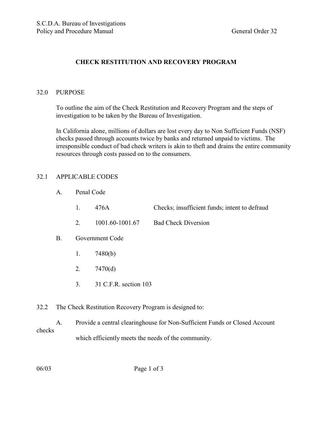#### **CHECK RESTITUTION AND RECOVERY PROGRAM**

#### 32.0 PURPOSE

To outline the aim of the Check Restitution and Recovery Program and the steps of investigation to be taken by the Bureau of Investigation.

In California alone, millions of dollars are lost every day to Non Sufficient Funds (NSF) checks passed through accounts twice by banks and returned unpaid to victims. The irresponsible conduct of bad check writers is akin to theft and drains the entire community resources through costs passed on to the consumers.

#### 32.1 APPLICABLE CODES

- A. Penal Code
	- 1. 476A Checks; insufficient funds; intent to defraud
	- 2. 1001.60-1001.67 Bad Check Diversion

#### B. Government Code

- 1. 7480(b)
- 2. 7470(d)
- 3. 31 C.F.R. section 103
- 32.2 The Check Restitution Recovery Program is designed to:

A. Provide a central clearinghouse for Non-Sufficient Funds or Closed Account checks which efficiently meets the needs of the community.

06/03 Page 1 of 3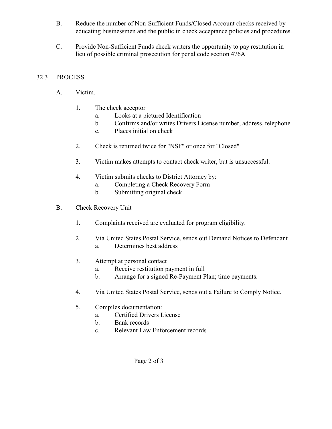- B. Reduce the number of Non-Sufficient Funds/Closed Account checks received by educating businessmen and the public in check acceptance policies and procedures.
- C. Provide Non-Sufficient Funds check writers the opportunity to pay restitution in lieu of possible criminal prosecution for penal code section 476A

#### 32.3 PROCESS

- A. Victim.
	- 1. The check acceptor
		- a. Looks at a pictured Identification
		- b. Confirms and/or writes Drivers License number, address, telephone
		- c. Places initial on check
	- 2. Check is returned twice for "NSF" or once for "Closed"
	- 3. Victim makes attempts to contact check writer, but is unsuccessful.
	- 4. Victim submits checks to District Attorney by:
		- a. Completing a Check Recovery Form
		- b. Submitting original check
- B. Check Recovery Unit
	- 1. Complaints received are evaluated for program eligibility.
	- 2. Via United States Postal Service, sends out Demand Notices to Defendant a. Determines best address
	- 3. Attempt at personal contact
		- a. Receive restitution payment in full
		- b. Arrange for a signed Re-Payment Plan; time payments.
	- 4. Via United States Postal Service, sends out a Failure to Comply Notice.
	- 5. Compiles documentation:
		- a. Certified Drivers License
		- b. Bank records
		- c. Relevant Law Enforcement records

Page 2 of 3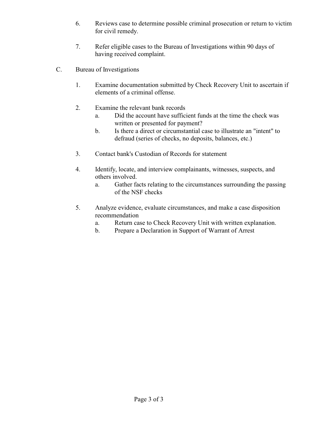- 6. Reviews case to determine possible criminal prosecution or return to victim for civil remedy.
- 7. Refer eligible cases to the Bureau of Investigations within 90 days of having received complaint.
- C. Bureau of Investigations
	- 1. Examine documentation submitted by Check Recovery Unit to ascertain if elements of a criminal offense.
	- 2. Examine the relevant bank records
		- a. Did the account have sufficient funds at the time the check was written or presented for payment?
		- b. Is there a direct or circumstantial case to illustrate an "intent" to defraud (series of checks, no deposits, balances, etc.)
	- 3. Contact bank's Custodian of Records for statement
	- 4. Identify, locate, and interview complainants, witnesses, suspects, and others involved.
		- a. Gather facts relating to the circumstances surrounding the passing of the NSF checks
	- 5. Analyze evidence, evaluate circumstances, and make a case disposition recommendation
		- a. Return case to Check Recovery Unit with written explanation.
		- b. Prepare a Declaration in Support of Warrant of Arrest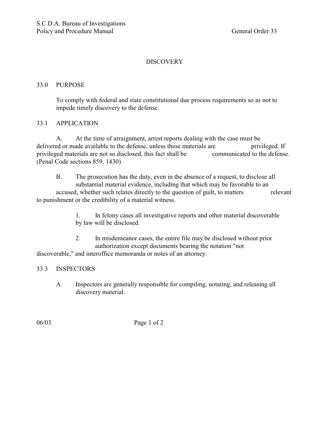### **DISCOVERY**

#### 33.0 PURPOSE

To comply with federal and state constitutional due process requirements so as not to impede timely discovery to the defense.

#### 33.1 APPLICATION

A. At the time of arraignment, arrest reports dealing with the case must be delivered or made available to the defense, unless these materials are privileged. If privileged materials are not so disclosed, this fact shall be communicated to the defense. (Penal Code sections 859, 1430)

B. The prosecution has the duty, even in the absence of a request, to disclose all substantial material evidence, including that which may be favorable to an accused, whether such relates directly to the question of guilt, to matters relevant to punishment or the credibility of a material witness.

- 1. In felony cases all investigative reports and other material discoverable by law will be disclosed.
- 2. In misdemeanor cases, the entire file may be disclosed without prior authorization except documents bearing the notation "not

discoverable," and interoffice memoranda or notes of an attorney.

#### 33.3 INSPECTORS

A. Inspectors are generally responsible for compiling, notating, and releasing all discovery material.

06/03 Page 1 of 2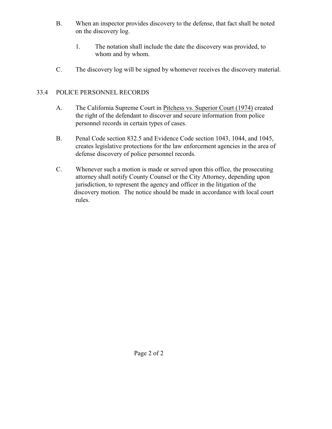- B. When an inspector provides discovery to the defense, that fact shall be noted on the discovery log.
	- 1. The notation shall include the date the discovery was provided, to whom and by whom.
- C. The discovery log will be signed by whomever receives the discovery material.

### 33.4 POLICE PERSONNEL RECORDS

- A. The California Supreme Court in Pitchess vs. Superior Court (1974) created the right of the defendant to discover and secure information from police personnel records in certain types of cases.
- B. Penal Code section 832.5 and Evidence Code section 1043, 1044, and 1045, creates legislative protections for the law enforcement agencies in the area of defense discovery of police personnel records.
- C. Whenever such a motion is made or served upon this office, the prosecuting attorney shall notify County Counsel or the City Attorney, depending upon jurisdiction, to represent the agency and officer in the litigation of the discovery motion. The notice should be made in accordance with local court rules.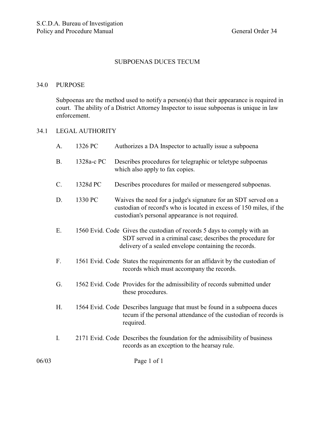## SUBPOENAS DUCES TECUM

#### 34.0 PURPOSE

Subpoenas are the method used to notify a person(s) that their appearance is required in court. The ability of a District Attorney Inspector to issue subpoenas is unique in law enforcement.

#### 34.1 LEGAL AUTHORITY

|       | A.              | 1326 PC    | Authorizes a DA Inspector to actually issue a subpoena                                                                                                                                         |
|-------|-----------------|------------|------------------------------------------------------------------------------------------------------------------------------------------------------------------------------------------------|
|       | <b>B.</b>       | 1328a-c PC | Describes procedures for telegraphic or teletype subpoenas<br>which also apply to fax copies.                                                                                                  |
|       | $\mathcal{C}$ . | 1328d PC   | Describes procedures for mailed or messengered subpoenas.                                                                                                                                      |
|       | D.              | 1330 PC    | Waives the need for a judge's signature for an SDT served on a<br>custodian of record's who is located in excess of 150 miles, if the<br>custodian's personal appearance is not required.      |
|       | Ε.              |            | 1560 Evid. Code Gives the custodian of records 5 days to comply with an<br>SDT served in a criminal case; describes the procedure for<br>delivery of a sealed envelope containing the records. |
|       | F.              |            | 1561 Evid. Code States the requirements for an affidavit by the custodian of<br>records which must accompany the records.                                                                      |
|       | G.              |            | 1562 Evid. Code Provides for the admissibility of records submitted under<br>these procedures.                                                                                                 |
|       | Η.              |            | 1564 Evid. Code Describes language that must be found in a subpoena duces<br>tecum if the personal attendance of the custodian of records is<br>required.                                      |
|       | I.              |            | 2171 Evid. Code Describes the foundation for the admissibility of business<br>records as an exception to the hearsay rule.                                                                     |
| 06/03 |                 |            | Page 1 of 1                                                                                                                                                                                    |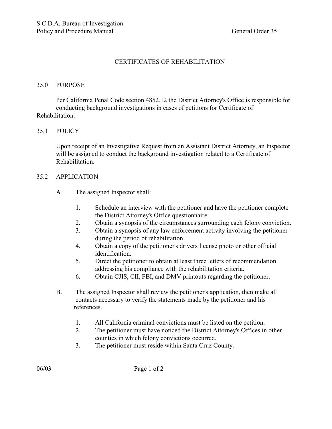### CERTIFICATES OF REHABILITATION

#### 35.0 PURPOSE

Per California Penal Code section 4852.12 the District Attorney's Office is responsible for conducting background investigations in cases of petitions for Certificate of Rehabilitation.

#### 35.1 POLICY

Upon receipt of an Investigative Request from an Assistant District Attorney, an Inspector will be assigned to conduct the background investigation related to a Certificate of Rehabilitation.

#### 35.2 APPLICATION

- A. The assigned Inspector shall:
	- 1. Schedule an interview with the petitioner and have the petitioner complete the District Attorney's Office questionnaire.
	- 2. Obtain a synopsis of the circumstances surrounding each felony conviction.
	- 3. Obtain a synopsis of any law enforcement activity involving the petitioner during the period of rehabilitation.
	- 4. Obtain a copy of the petitioner's drivers license photo or other official identification.
	- 5. Direct the petitioner to obtain at least three letters of recommendation addressing his compliance with the rehabilitation criteria.
	- 6. Obtain CJIS, CII, FBI, and DMV printouts regarding the petitioner.
- B. The assigned Inspector shall review the petitioner's application, then make all contacts necessary to verify the statements made by the petitioner and his references.
	- 1. All California criminal convictions must be listed on the petition.
	- 2. The petitioner must have noticed the District Attorney's Offices in other counties in which felony convictions occurred.
	- 3. The petitioner must reside within Santa Cruz County.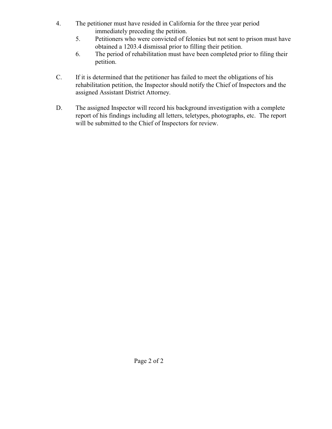- 4. The petitioner must have resided in California for the three year period immediately preceding the petition.
	- 5. Petitioners who were convicted of felonies but not sent to prison must have obtained a 1203.4 dismissal prior to filling their petition.
	- 6. The period of rehabilitation must have been completed prior to filing their petition.
- C. If it is determined that the petitioner has failed to meet the obligations of his rehabilitation petition, the Inspector should notify the Chief of Inspectors and the assigned Assistant District Attorney.
- D. The assigned Inspector will record his background investigation with a complete report of his findings including all letters, teletypes, photographs, etc. The report will be submitted to the Chief of Inspectors for review.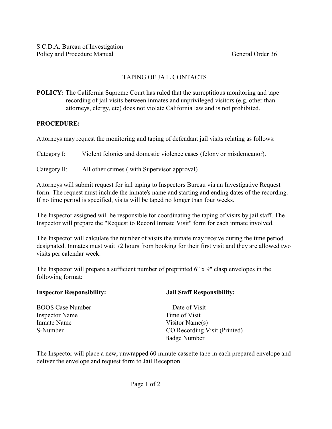# TAPING OF JAIL CONTACTS

**POLICY:** The California Supreme Court has ruled that the surreptitious monitoring and tape recording of jail visits between inmates and unprivileged visitors (e.g. other than attorneys, clergy, etc) does not violate California law and is not prohibited.

## **PROCEDURE:**

Attorneys may request the monitoring and taping of defendant jail visits relating as follows:

Category I: Violent felonies and domestic violence cases (felony or misdemeanor).

Category II: All other crimes (with Supervisor approval)

Attorneys will submit request for jail taping to Inspectors Bureau via an Investigative Request form. The request must include the inmate's name and starting and ending dates of the recording. If no time period is specified, visits will be taped no longer than four weeks.

The Inspector assigned will be responsible for coordinating the taping of visits by jail staff. The Inspector will prepare the "Request to Record Inmate Visit" form for each inmate involved.

The Inspector will calculate the number of visits the inmate may receive during the time period designated. Inmates must wait 72 hours from booking for their first visit and they are allowed two visits per calendar week.

The Inspector will prepare a sufficient number of preprinted 6" x 9" clasp envelopes in the following format:

| <b>BOOS Case Number</b> | Date of Visit                |
|-------------------------|------------------------------|
| Inspector Name          | Time of Visit                |
| <b>Inmate Name</b>      | Visitor Name(s)              |
| S-Number                | CO Recording Visit (Printed) |
|                         | Badge Number                 |

**Inspector Responsibility: Jail Staff Responsibility:**

The Inspector will place a new, unwrapped 60 minute cassette tape in each prepared envelope and deliver the envelope and request form to Jail Reception.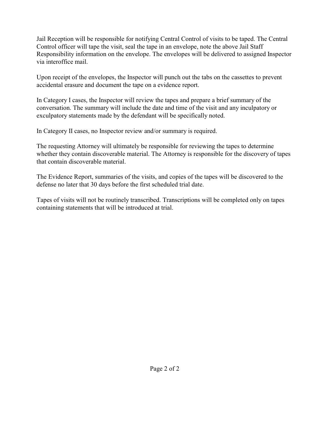Jail Reception will be responsible for notifying Central Control of visits to be taped. The Central Control officer will tape the visit, seal the tape in an envelope, note the above Jail Staff Responsibility information on the envelope. The envelopes will be delivered to assigned Inspector via interoffice mail.

Upon receipt of the envelopes, the Inspector will punch out the tabs on the cassettes to prevent accidental erasure and document the tape on a evidence report.

In Category I cases, the Inspector will review the tapes and prepare a brief summary of the conversation. The summary will include the date and time of the visit and any inculpatory or exculpatory statements made by the defendant will be specifically noted.

In Category II cases, no Inspector review and/or summary is required.

The requesting Attorney will ultimately be responsible for reviewing the tapes to determine whether they contain discoverable material. The Attorney is responsible for the discovery of tapes that contain discoverable material.

The Evidence Report, summaries of the visits, and copies of the tapes will be discovered to the defense no later that 30 days before the first scheduled trial date.

Tapes of visits will not be routinely transcribed. Transcriptions will be completed only on tapes containing statements that will be introduced at trial.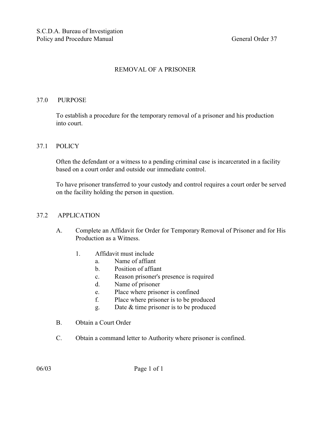## REMOVAL OF A PRISONER

### 37.0 PURPOSE

To establish a procedure for the temporary removal of a prisoner and his production into court.

### 37.1 POLICY

Often the defendant or a witness to a pending criminal case is incarcerated in a facility based on a court order and outside our immediate control.

To have prisoner transferred to your custody and control requires a court order be served on the facility holding the person in question.

### 37.2 APPLICATION

- A. Complete an Affidavit for Order for Temporary Removal of Prisoner and for His Production as a Witness.
	- 1. Affidavit must include
		- a. Name of affiant
		- b. Position of affiant
		- c. Reason prisoner's presence is required
		- d. Name of prisoner
		- e. Place where prisoner is confined
		- f. Place where prisoner is to be produced
		- g. Date & time prisoner is to be produced
- B. Obtain a Court Order
- C. Obtain a command letter to Authority where prisoner is confined.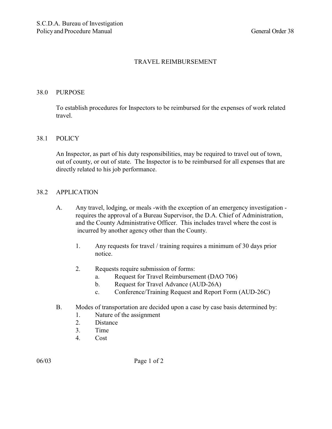## TRAVEL REIMBURSEMENT

#### 38.0 PURPOSE

To establish procedures for Inspectors to be reimbursed for the expenses of work related travel.

#### 38.1 POLICY

An Inspector, as part of his duty responsibilities, may be required to travel out of town, out of county, or out of state. The Inspector is to be reimbursed for all expenses that are directly related to his job performance.

#### 38.2 APPLICATION

- A. Any travel, lodging, or meals -with the exception of an emergency investigation requires the approval of a Bureau Supervisor, the D.A. Chief of Administration, and the County Administrative Officer. This includes travel where the cost is incurred by another agency other than the County.
	- 1. Any requests for travel / training requires a minimum of 30 days prior notice.
	- 2. Requests require submission of forms:
		- a. Request for Travel Reimbursement (DAO 706)
		- b. Request for Travel Advance (AUD-26A)
		- c. Conference/Training Request and Report Form (AUD-26C)
- B. Modes of transportation are decided upon a case by case basis determined by:
	- 1. Nature of the assignment
	- 2. Distance
	- 3. Time
	- 4. Cost

06/03 Page 1 of 2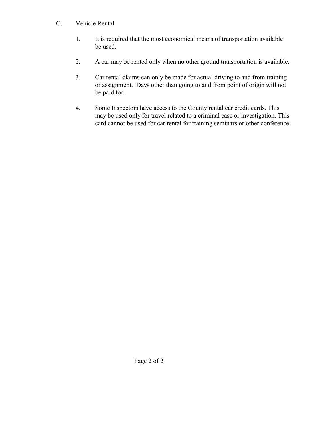# C. Vehicle Rental

- 1. It is required that the most economical means of transportation available be used.
- 2. A car may be rented only when no other ground transportation is available.
- 3. Car rental claims can only be made for actual driving to and from training or assignment. Days other than going to and from point of origin will not be paid for.
- 4. Some Inspectors have access to the County rental car credit cards. This may be used only for travel related to a criminal case or investigation. This card cannot be used for car rental for training seminars or other conference.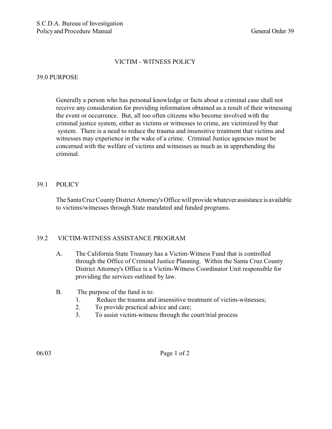### VICTIM - WITNESS POLICY

#### 39.0 PURPOSE

 Generally a person who has personal knowledge or facts about a criminal case shall not receive any consideration for providing information obtained as a result of their witnessing the event or occurrence. But, all too often citizens who become involved with the criminal justice system, either as victims or witnesses to crime, are victimized by that system. There is a need to reduce the trauma and insensitive treatment that victims and witnesses may experience in the wake of a crime. Criminal Justice agencies must be concerned with the welfare of victims and witnesses as much as in apprehending the criminal.

### 39.1 POLICY

TheSanta Cruz CountyDistrict Attorney's Office will providewhatever assistance is available to victims/witnesses through State mandated and funded programs.

### 39.2 VICTIM-WITNESS ASSISTANCE PROGRAM

- A. The California State Treasury has a Victim-Witness Fund that is controlled through the Office of Criminal Justice Planning. Within the Santa Cruz County District Attorney's Office is a Victim-Witness Coordinator Unit responsible for providing the services outlined by law.
- B. The purpose of the fund is to:
	- 1. Reduce the trauma and insensitive treatment of victim-witnesses;
	- 2. To provide practical advice and care;
	- 3. To assist victim-witness through the court/trial process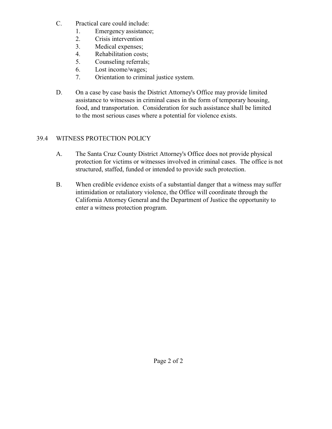- C. Practical care could include:
	- 1. Emergency assistance;
	- 2. Crisis intervention
	- 3. Medical expenses;
	- 4. Rehabilitation costs;
	- 5. Counseling referrals;
	- 6. Lost income/wages;
	- 7. Orientation to criminal justice system.
- D. On a case by case basis the District Attorney's Office may provide limited assistance to witnesses in criminal cases in the form of temporary housing, food, and transportation. Consideration for such assistance shall be limited to the most serious cases where a potential for violence exists.

## 39.4 WITNESS PROTECTION POLICY

- A. The Santa Cruz County District Attorney's Office does not provide physical protection for victims or witnesses involved in criminal cases. The office is not structured, staffed, funded or intended to provide such protection.
- B. When credible evidence exists of a substantial danger that a witness may suffer intimidation or retaliatory violence, the Office will coordinate through the California Attorney General and the Department of Justice the opportunity to enter a witness protection program.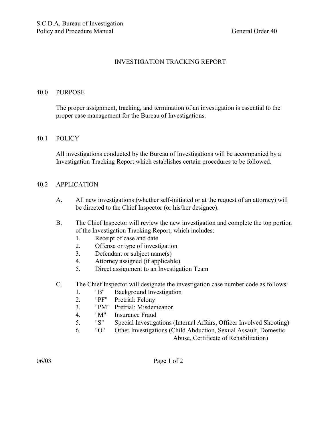## INVESTIGATION TRACKING REPORT

#### 40.0 PURPOSE

The proper assignment, tracking, and termination of an investigation is essential to the proper case management for the Bureau of Investigations.

### 40.1 POLICY

All investigations conducted by the Bureau of Investigations will be accompanied by a Investigation Tracking Report which establishes certain procedures to be followed.

### 40.2 APPLICATION

- A. All new investigations (whether self-initiated or at the request of an attorney) will be directed to the Chief Inspector (or his/her designee).
- B. The Chief Inspector will review the new investigation and complete the top portion of the Investigation Tracking Report, which includes:
	- 1. Receipt of case and date
	- 2. Offense or type of investigation
	- 3. Defendant or subject name(s)
	- 4. Attorney assigned (if applicable)
	- 5. Direct assignment to an Investigation Team
- C. The Chief Inspector will designate the investigation case number code as follows:
	- 1. "B" Background Investigation
	- 2. "PF" Pretrial: Felony
	- 3. "PM" Pretrial: Misdemeanor
	- 4. "M" Insurance Fraud<br>5. "S" Special Investiga
	- 5. "S" Special Investigations (Internal Affairs, Officer Involved Shooting)
	- 6. "O" Other Investigations (Child Abduction, Sexual Assault, Domestic

Abuse, Certificate of Rehabilitation)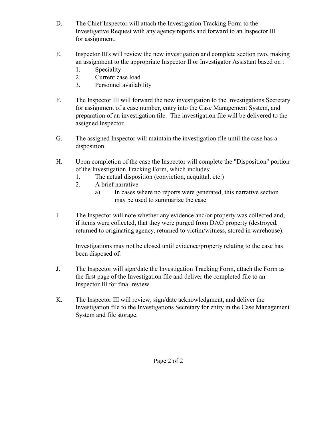- D. The Chief Inspector will attach the Investigation Tracking Form to the Investigative Request with any agency reports and forward to an Inspector III for assignment.
- E. Inspector III's will review the new investigation and complete section two, making an assignment to the appropriate Inspector II or Investigator Assistant based on :
	- 1. Speciality
	- 2. Current case load
	- 3. Personnel availability
- F. The Inspector III will forward the new investigation to the Investigations Secretary for assignment of a case number, entry into the Case Management System, and preparation of an investigation file. The investigation file will be delivered to the assigned Inspector.
- G. The assigned Inspector will maintain the investigation file until the case has a disposition.
- H. Upon completion of the case the Inspector will complete the "Disposition" portion of the Investigation Tracking Form, which includes:
	- 1. The actual disposition (conviction, acquittal, etc.)
	- 2. A brief narrative
		- a) In cases where no reports were generated, this narrative section may be used to summarize the case.
- I. The Inspector will note whether any evidence and/or property was collected and, if items were collected, that they were purged from DAO property (destroyed, returned to originating agency, returned to victim/witness, stored in warehouse).

Investigations may not be closed until evidence/property relating to the case has been disposed of.

- J. The Inspector will sign/date the Investigation Tracking Form, attach the Form as the first page of the Investigation file and deliver the completed file to an Inspector III for final review.
- K. The Inspector III will review, sign/date acknowledgment, and deliver the Investigation file to the Investigations Secretary for entry in the Case Management System and file storage.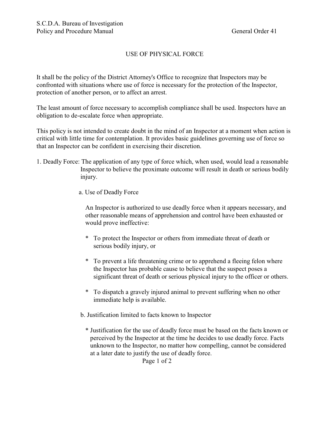## USE OF PHYSICAL FORCE

It shall be the policy of the District Attorney's Office to recognize that Inspectors may be confronted with situations where use of force is necessary for the protection of the Inspector, protection of another person, or to affect an arrest.

The least amount of force necessary to accomplish compliance shall be used. Inspectors have an obligation to de-escalate force when appropriate.

This policy is not intended to create doubt in the mind of an Inspector at a moment when action is critical with little time for contemplation. It provides basic guidelines governing use of force so that an Inspector can be confident in exercising their discretion.

- 1. Deadly Force: The application of any type of force which, when used, would lead a reasonable Inspector to believe the proximate outcome will result in death or serious bodily injury.
	- a. Use of Deadly Force

 An Inspector is authorized to use deadly force when it appears necessary, and other reasonable means of apprehension and control have been exhausted or would prove ineffective:

- \* To protect the Inspector or others from immediate threat of death or serious bodily injury, or
- \* To prevent a life threatening crime or to apprehend a fleeing felon where the Inspector has probable cause to believe that the suspect poses a significant threat of death or serious physical injury to the officer or others.
- \* To dispatch a gravely injured animal to prevent suffering when no other immediate help is available.

b. Justification limited to facts known to Inspector

 \* Justification for the use of deadly force must be based on the facts known or perceived by the Inspector at the time he decides to use deadly force. Facts unknown to the Inspector, no matter how compelling, cannot be considered at a later date to justify the use of deadly force.

Page 1 of 2